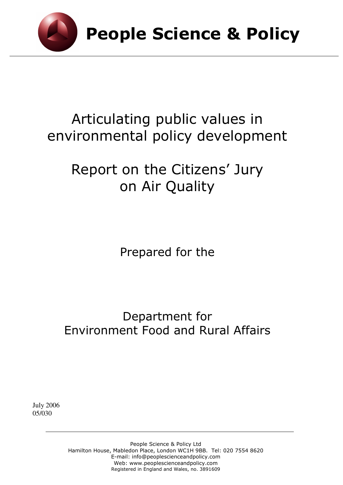

# Articulating public values in environmental policy development

# Report on the Citizens' Jury on Air Quality

Prepared for the

# Department for Environment Food and Rural Affairs

July 2006 05/030

> People Science & Policy Ltd Hamilton House, Mabledon Place, London WC1H 9BB. Tel: 020 7554 8620 E-mail: info@peoplescienceandpolicy.com Web: www.peoplescienceandpolicy.com Registered in England and Wales, no. 3891609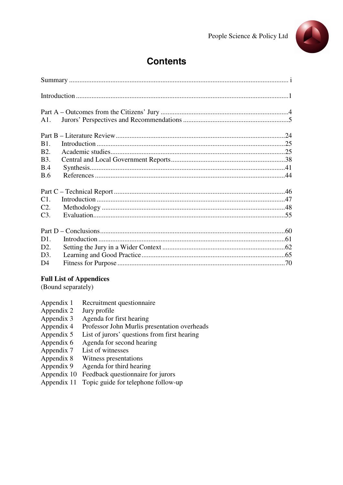

# **Contents**

| A1.            |  |
|----------------|--|
|                |  |
| B1.            |  |
| <b>B2.</b>     |  |
| <b>B</b> 3.    |  |
| <b>B.4</b>     |  |
| B.6            |  |
|                |  |
|                |  |
| C1.            |  |
| C2.            |  |
| C3.            |  |
|                |  |
| D1.            |  |
|                |  |
| D2.            |  |
| D3.            |  |
| D <sub>4</sub> |  |

#### **Full List of Appendices**

(Bound separately)

- Appendix 1 Recruitment questionnaire
- Appendix 2 Jury profile<br>Appendix 3 Agenda for 1
- Agenda for first hearing
- Appendix 4 Professor John Murlis presentation overheads<br>Appendix 5 List of jurors' questions from first hearing
- List of jurors' questions from first hearing
- Appendix 6 Agenda for second hearing<br>Appendix 7 List of witnesses
- Appendix 7 List of witnesses<br>Appendix 8 Witness presentation
- Witness presentations
- Appendix 9 Agenda for third hearing
- Appendix 10 Feedback questionnaire for jurors
- Appendix 11 Topic guide for telephone follow-up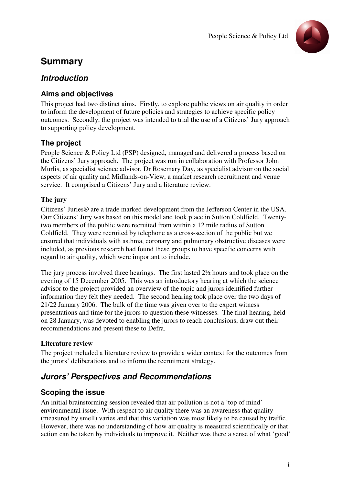

# **Summary**

# **Introduction**

# **Aims and objectives**

This project had two distinct aims. Firstly, to explore public views on air quality in order to inform the development of future policies and strategies to achieve specific policy outcomes. Secondly, the project was intended to trial the use of a Citizens' Jury approach to supporting policy development.

# **The project**

People Science & Policy Ltd (PSP) designed, managed and delivered a process based on the Citizens' Jury approach. The project was run in collaboration with Professor John Murlis, as specialist science advisor, Dr Rosemary Day, as specialist advisor on the social aspects of air quality and Midlands-on-View, a market research recruitment and venue service. It comprised a Citizens' Jury and a literature review.

#### **The jury**

Citizens' Juries® are a trade marked development from the Jefferson Center in the USA. Our Citizens' Jury was based on this model and took place in Sutton Coldfield. Twentytwo members of the public were recruited from within a 12 mile radius of Sutton Coldfield. They were recruited by telephone as a cross-section of the public but we ensured that individuals with asthma, coronary and pulmonary obstructive diseases were included, as previous research had found these groups to have specific concerns with regard to air quality, which were important to include.

The jury process involved three hearings. The first lasted 2½ hours and took place on the evening of 15 December 2005. This was an introductory hearing at which the science advisor to the project provided an overview of the topic and jurors identified further information they felt they needed. The second hearing took place over the two days of 21/22 January 2006. The bulk of the time was given over to the expert witness presentations and time for the jurors to question these witnesses. The final hearing, held on 28 January, was devoted to enabling the jurors to reach conclusions, draw out their recommendations and present these to Defra.

#### **Literature review**

The project included a literature review to provide a wider context for the outcomes from the jurors' deliberations and to inform the recruitment strategy.

# **Jurors' Perspectives and Recommendations**

# **Scoping the issue**

An initial brainstorming session revealed that air pollution is not a 'top of mind' environmental issue. With respect to air quality there was an awareness that quality (measured by smell) varies and that this variation was most likely to be caused by traffic. However, there was no understanding of how air quality is measured scientifically or that action can be taken by individuals to improve it. Neither was there a sense of what 'good'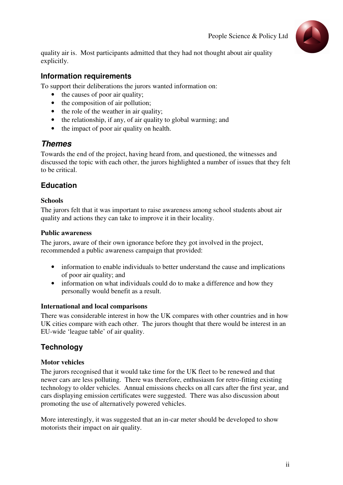

quality air is. Most participants admitted that they had not thought about air quality explicitly.

# **Information requirements**

To support their deliberations the jurors wanted information on:

- the causes of poor air quality;
- the composition of air pollution;
- the role of the weather in air quality;
- the relationship, if any, of air quality to global warming; and
- the impact of poor air quality on health.

# **Themes**

Towards the end of the project, having heard from, and questioned, the witnesses and discussed the topic with each other, the jurors highlighted a number of issues that they felt to be critical.

# **Education**

#### **Schools**

The jurors felt that it was important to raise awareness among school students about air quality and actions they can take to improve it in their locality.

#### **Public awareness**

The jurors, aware of their own ignorance before they got involved in the project, recommended a public awareness campaign that provided:

- information to enable individuals to better understand the cause and implications of poor air quality; and
- information on what individuals could do to make a difference and how they personally would benefit as a result.

## **International and local comparisons**

There was considerable interest in how the UK compares with other countries and in how UK cities compare with each other. The jurors thought that there would be interest in an EU-wide 'league table' of air quality.

# **Technology**

## **Motor vehicles**

The jurors recognised that it would take time for the UK fleet to be renewed and that newer cars are less polluting. There was therefore, enthusiasm for retro-fitting existing technology to older vehicles. Annual emissions checks on all cars after the first year, and cars displaying emission certificates were suggested. There was also discussion about promoting the use of alternatively powered vehicles.

More interestingly, it was suggested that an in-car meter should be developed to show motorists their impact on air quality.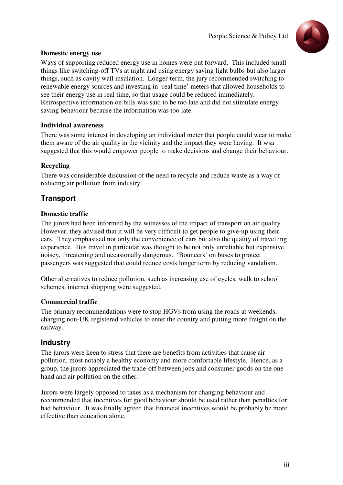

#### **Domestic energy use**

Ways of supporting reduced energy use in homes were put forward. This included small things like switching-off TVs at night and using energy saving light bulbs but also larger things, such as cavity wall insulation. Longer-term, the jury recommended switching to renewable energy sources and investing in 'real time' meters that allowed households to see their energy use in real time, so that usage could be reduced immediately. Retrospective information on bills was said to be too late and did not stimulate energy saving behaviour because the information was too late.

#### **Individual awareness**

There was some interest in developing an individual meter that people could wear to make them aware of the air quality in the vicinity and the impact they were having. It wsa suggested that this would empower people to make decisions and change their behaviour.

#### **Recycling**

There was considerable discussion of the need to recycle and reduce waste as a way of reducing air pollution from industry.

# **Transport**

#### **Domestic traffic**

The jurors had been informed by the witnesses of the impact of transport on air quality. However, they advised that it will be very difficult to get people to give-up using their cars. They emphasised not only the convenience of cars but also the quality of travelling experience. Bus travel in particular was thought to be not only unreliable but expensive, noisey, threatening and occasionally dangerous. 'Bouncers' on buses to protect passengers was suggested that could reduce costs longer term by reducing vandalism.

Other alternatives to reduce pollution, such as increasing use of cycles, walk to school schemes, internet shopping were suggested.

#### **Commercial traffic**

The primary recommendations were to stop HGVs from using the roads at weekends, charging non-UK registered vehicles to enter the country and putting more freight on the railway.

## **Industry**

The jurors were keen to stress that there are benefits from activities that cause air pollution, most notably a healthy economy and more comfortable lifestyle. Hence, as a group, the jurors appreciated the trade-off between jobs and consumer goods on the one hand and air pollution on the other.

Jurors were largely opposed to taxes as a mechanism for changing behaviour and recommended that incentives for good behaviour should be used rather than penalties for bad behaviour. It was finally agreed that financial incentives would be probably be more effective than education alone.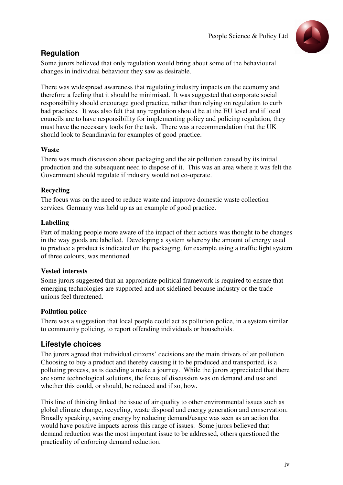

# **Regulation**

Some jurors believed that only regulation would bring about some of the behavioural changes in individual behaviour they saw as desirable.

There was widespread awareness that regulating industry impacts on the economy and therefore a feeling that it should be minimised. It was suggested that corporate social responsibility should encourage good practice, rather than relying on regulation to curb bad practices. It was also felt that any regulation should be at the EU level and if local councils are to have responsibility for implementing policy and policing regulation, they must have the necessary tools for the task. There was a recommendation that the UK should look to Scandinavia for examples of good practice.

#### **Waste**

There was much discussion about packaging and the air pollution caused by its initial production and the subsequent need to dispose of it. This was an area where it was felt the Government should regulate if industry would not co-operate.

## **Recycling**

The focus was on the need to reduce waste and improve domestic waste collection services. Germany was held up as an example of good practice.

#### **Labelling**

Part of making people more aware of the impact of their actions was thought to be changes in the way goods are labelled. Developing a system whereby the amount of energy used to produce a product is indicated on the packaging, for example using a traffic light system of three colours, was mentioned.

#### **Vested interests**

Some jurors suggested that an appropriate political framework is required to ensure that emerging technologies are supported and not sidelined because industry or the trade unions feel threatened.

#### **Pollution police**

There was a suggestion that local people could act as pollution police, in a system similar to community policing, to report offending individuals or households.

# **Lifestyle choices**

The jurors agreed that individual citizens' decisions are the main drivers of air pollution. Choosing to buy a product and thereby causing it to be produced and transported, is a polluting process, as is deciding a make a journey. While the jurors appreciated that there are some technological solutions, the focus of discussion was on demand and use and whether this could, or should, be reduced and if so, how.

This line of thinking linked the issue of air quality to other environmental issues such as global climate change, recycling, waste disposal and energy generation and conservation. Broadly speaking, saving energy by reducing demand/usage was seen as an action that would have positive impacts across this range of issues. Some jurors believed that demand reduction was the most important issue to be addressed, others questioned the practicality of enforcing demand reduction.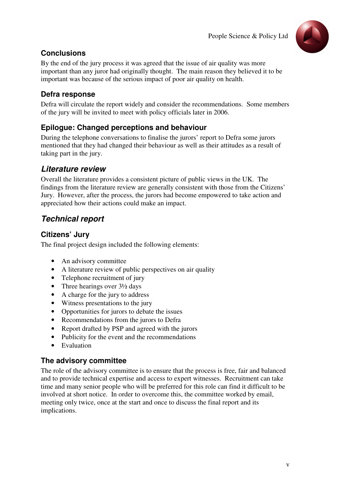

# **Conclusions**

By the end of the jury process it was agreed that the issue of air quality was more important than any juror had originally thought. The main reason they believed it to be important was because of the serious impact of poor air quality on health.

# **Defra response**

Defra will circulate the report widely and consider the recommendations. Some members of the jury will be invited to meet with policy officials later in 2006.

# **Epilogue: Changed perceptions and behaviour**

During the telephone conversations to finalise the jurors' report to Defra some jurors mentioned that they had changed their behaviour as well as their attitudes as a result of taking part in the jury.

# **Literature review**

Overall the literature provides a consistent picture of public views in the UK. The findings from the literature review are generally consistent with those from the Citizens' Jury. However, after the process, the jurors had become empowered to take action and appreciated how their actions could make an impact.

# **Technical report**

# **Citizens' Jury**

The final project design included the following elements:

- An advisory committee
- A literature review of public perspectives on air quality
- Telephone recruitment of jury
- Three hearings over  $3\frac{1}{2}$  days
- A charge for the jury to address
- Witness presentations to the jury
- Opportunities for jurors to debate the issues
- Recommendations from the jurors to Defra
- Report drafted by PSP and agreed with the jurors
- Publicity for the event and the recommendations
- Evaluation

# **The advisory committee**

The role of the advisory committee is to ensure that the process is free, fair and balanced and to provide technical expertise and access to expert witnesses. Recruitment can take time and many senior people who will be preferred for this role can find it difficult to be involved at short notice. In order to overcome this, the committee worked by email, meeting only twice, once at the start and once to discuss the final report and its implications.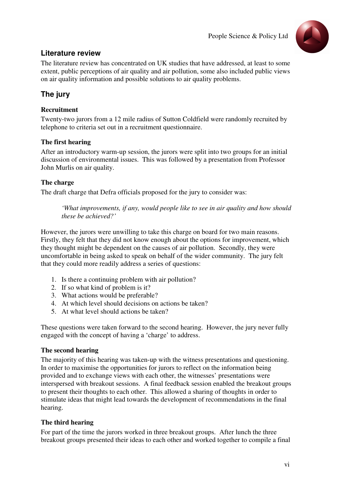

# **Literature review**

The literature review has concentrated on UK studies that have addressed, at least to some extent, public perceptions of air quality and air pollution, some also included public views on air quality information and possible solutions to air quality problems.

# **The jury**

#### **Recruitment**

Twenty-two jurors from a 12 mile radius of Sutton Coldfield were randomly recruited by telephone to criteria set out in a recruitment questionnaire.

#### **The first hearing**

After an introductory warm-up session, the jurors were split into two groups for an initial discussion of environmental issues. This was followed by a presentation from Professor John Murlis on air quality.

#### **The charge**

The draft charge that Defra officials proposed for the jury to consider was:

*'What improvements, if any, would people like to see in air quality and how should these be achieved?'* 

However, the jurors were unwilling to take this charge on board for two main reasons. Firstly, they felt that they did not know enough about the options for improvement, which they thought might be dependent on the causes of air pollution. Secondly, they were uncomfortable in being asked to speak on behalf of the wider community. The jury felt that they could more readily address a series of questions:

- 1. Is there a continuing problem with air pollution?
- 2. If so what kind of problem is it?
- 3. What actions would be preferable?
- 4. At which level should decisions on actions be taken?
- 5. At what level should actions be taken?

These questions were taken forward to the second hearing. However, the jury never fully engaged with the concept of having a 'charge' to address.

#### **The second hearing**

The majority of this hearing was taken-up with the witness presentations and questioning. In order to maximise the opportunities for jurors to reflect on the information being provided and to exchange views with each other, the witnesses' presentations were interspersed with breakout sessions. A final feedback session enabled the breakout groups to present their thoughts to each other. This allowed a sharing of thoughts in order to stimulate ideas that might lead towards the development of recommendations in the final hearing.

#### **The third hearing**

For part of the time the jurors worked in three breakout groups. After lunch the three breakout groups presented their ideas to each other and worked together to compile a final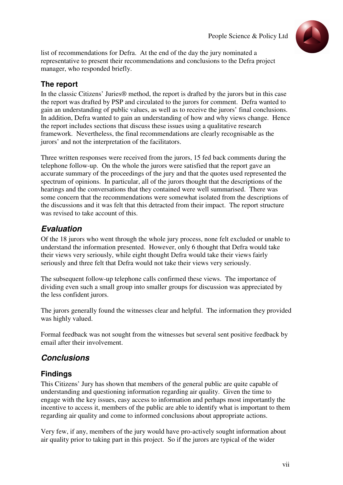

list of recommendations for Defra. At the end of the day the jury nominated a representative to present their recommendations and conclusions to the Defra project manager, who responded briefly.

# **The report**

In the classic Citizens' Juries® method, the report is drafted by the jurors but in this case the report was drafted by PSP and circulated to the jurors for comment. Defra wanted to gain an understanding of public values, as well as to receive the jurors' final conclusions. In addition, Defra wanted to gain an understanding of how and why views change. Hence the report includes sections that discuss these issues using a qualitative research framework. Nevertheless, the final recommendations are clearly recognisable as the jurors' and not the interpretation of the facilitators.

Three written responses were received from the jurors, 15 fed back comments during the telephone follow-up. On the whole the jurors were satisfied that the report gave an accurate summary of the proceedings of the jury and that the quotes used represented the spectrum of opinions. In particular, all of the jurors thought that the descriptions of the hearings and the conversations that they contained were well summarised. There was some concern that the recommendations were somewhat isolated from the descriptions of the discussions and it was felt that this detracted from their impact. The report structure was revised to take account of this.

# **Evaluation**

Of the 18 jurors who went through the whole jury process, none felt excluded or unable to understand the information presented. However, only 6 thought that Defra would take their views very seriously, while eight thought Defra would take their views fairly seriously and three felt that Defra would not take their views very seriously.

The subsequent follow-up telephone calls confirmed these views. The importance of dividing even such a small group into smaller groups for discussion was appreciated by the less confident jurors.

The jurors generally found the witnesses clear and helpful. The information they provided was highly valued.

Formal feedback was not sought from the witnesses but several sent positive feedback by email after their involvement.

# **Conclusions**

# **Findings**

This Citizens' Jury has shown that members of the general public are quite capable of understanding and questioning information regarding air quality. Given the time to engage with the key issues, easy access to information and perhaps most importantly the incentive to access it, members of the public are able to identify what is important to them regarding air quality and come to informed conclusions about appropriate actions.

Very few, if any, members of the jury would have pro-actively sought information about air quality prior to taking part in this project. So if the jurors are typical of the wider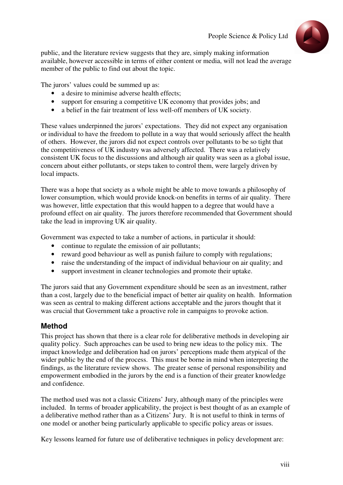

public, and the literature review suggests that they are, simply making information available, however accessible in terms of either content or media, will not lead the average member of the public to find out about the topic.

The jurors' values could be summed up as:

- a desire to minimise adverse health effects:
- support for ensuring a competitive UK economy that provides jobs; and
- a belief in the fair treatment of less well-off members of UK society.

These values underpinned the jurors' expectations. They did not expect any organisation or individual to have the freedom to pollute in a way that would seriously affect the health of others. However, the jurors did not expect controls over pollutants to be so tight that the competitiveness of UK industry was adversely affected. There was a relatively consistent UK focus to the discussions and although air quality was seen as a global issue, concern about either pollutants, or steps taken to control them, were largely driven by local impacts.

There was a hope that society as a whole might be able to move towards a philosophy of lower consumption, which would provide knock-on benefits in terms of air quality. There was however, little expectation that this would happen to a degree that would have a profound effect on air quality. The jurors therefore recommended that Government should take the lead in improving UK air quality.

Government was expected to take a number of actions, in particular it should:

- continue to regulate the emission of air pollutants;
- reward good behaviour as well as punish failure to comply with regulations;
- raise the understanding of the impact of individual behaviour on air quality; and
- support investment in cleaner technologies and promote their uptake.

The jurors said that any Government expenditure should be seen as an investment, rather than a cost, largely due to the beneficial impact of better air quality on health. Information was seen as central to making different actions acceptable and the jurors thought that it was crucial that Government take a proactive role in campaigns to provoke action.

## **Method**

This project has shown that there is a clear role for deliberative methods in developing air quality policy. Such approaches can be used to bring new ideas to the policy mix. The impact knowledge and deliberation had on jurors' perceptions made them atypical of the wider public by the end of the process. This must be borne in mind when interpreting the findings, as the literature review shows. The greater sense of personal responsibility and empowerment embodied in the jurors by the end is a function of their greater knowledge and confidence.

The method used was not a classic Citizens' Jury, although many of the principles were included. In terms of broader applicability, the project is best thought of as an example of a deliberative method rather than as a Citizens' Jury. It is not useful to think in terms of one model or another being particularly applicable to specific policy areas or issues.

Key lessons learned for future use of deliberative techniques in policy development are: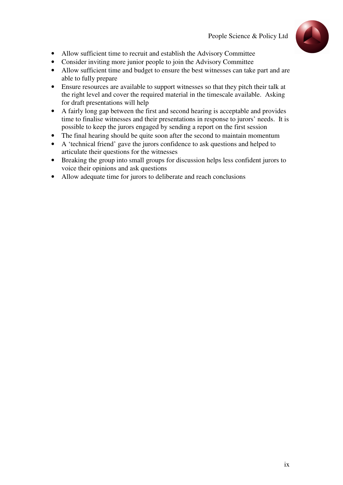

- Allow sufficient time to recruit and establish the Advisory Committee
- Consider inviting more junior people to join the Advisory Committee
- Allow sufficient time and budget to ensure the best witnesses can take part and are able to fully prepare
- Ensure resources are available to support witnesses so that they pitch their talk at the right level and cover the required material in the timescale available. Asking for draft presentations will help
- A fairly long gap between the first and second hearing is acceptable and provides time to finalise witnesses and their presentations in response to jurors' needs. It is possible to keep the jurors engaged by sending a report on the first session
- The final hearing should be quite soon after the second to maintain momentum
- A 'technical friend' gave the jurors confidence to ask questions and helped to articulate their questions for the witnesses
- Breaking the group into small groups for discussion helps less confident jurors to voice their opinions and ask questions
- Allow adequate time for jurors to deliberate and reach conclusions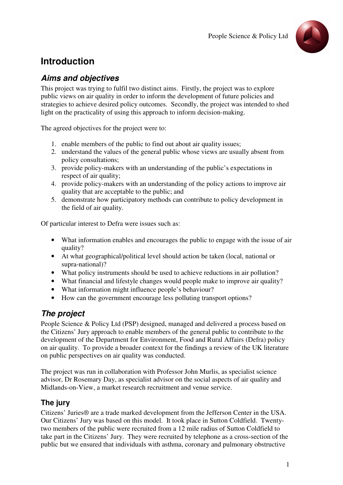

# **Introduction**

# **Aims and objectives**

This project was trying to fulfil two distinct aims. Firstly, the project was to explore public views on air quality in order to inform the development of future policies and strategies to achieve desired policy outcomes. Secondly, the project was intended to shed light on the practicality of using this approach to inform decision-making.

The agreed objectives for the project were to:

- 1. enable members of the public to find out about air quality issues;
- 2. understand the values of the general public whose views are usually absent from policy consultations;
- 3. provide policy-makers with an understanding of the public's expectations in respect of air quality;
- 4. provide policy-makers with an understanding of the policy actions to improve air quality that are acceptable to the public; and
- 5. demonstrate how participatory methods can contribute to policy development in the field of air quality.

Of particular interest to Defra were issues such as:

- What information enables and encourages the public to engage with the issue of air quality?
- At what geographical/political level should action be taken (local, national or supra-national)?
- What policy instruments should be used to achieve reductions in air pollution?
- What financial and lifestyle changes would people make to improve air quality?
- What information might influence people's behaviour?
- How can the government encourage less polluting transport options?

# **The project**

People Science & Policy Ltd (PSP) designed, managed and delivered a process based on the Citizens' Jury approach to enable members of the general public to contribute to the development of the Department for Environment, Food and Rural Affairs (Defra) policy on air quality. To provide a broader context for the findings a review of the UK literature on public perspectives on air quality was conducted.

The project was run in collaboration with Professor John Murlis, as specialist science advisor, Dr Rosemary Day, as specialist advisor on the social aspects of air quality and Midlands-on-View, a market research recruitment and venue service.

# **The jury**

Citizens' Juries® are a trade marked development from the Jefferson Center in the USA. Our Citizens' Jury was based on this model. It took place in Sutton Coldfield. Twentytwo members of the public were recruited from a 12 mile radius of Sutton Coldfield to take part in the Citizens' Jury. They were recruited by telephone as a cross-section of the public but we ensured that individuals with asthma, coronary and pulmonary obstructive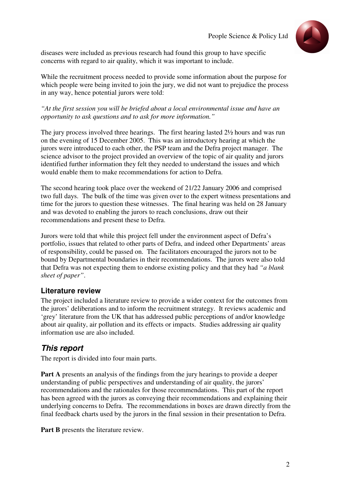

diseases were included as previous research had found this group to have specific concerns with regard to air quality, which it was important to include.

While the recruitment process needed to provide some information about the purpose for which people were being invited to join the jury, we did not want to prejudice the process in any way, hence potential jurors were told:

*"At the first session you will be briefed about a local environmental issue and have an opportunity to ask questions and to ask for more information."* 

The jury process involved three hearings. The first hearing lasted 2½ hours and was run on the evening of 15 December 2005. This was an introductory hearing at which the jurors were introduced to each other, the PSP team and the Defra project manager. The science advisor to the project provided an overview of the topic of air quality and jurors identified further information they felt they needed to understand the issues and which would enable them to make recommendations for action to Defra.

The second hearing took place over the weekend of 21/22 January 2006 and comprised two full days. The bulk of the time was given over to the expert witness presentations and time for the jurors to question these witnesses. The final hearing was held on 28 January and was devoted to enabling the jurors to reach conclusions, draw out their recommendations and present these to Defra.

Jurors were told that while this project fell under the environment aspect of Defra's portfolio, issues that related to other parts of Defra, and indeed other Departments' areas of responsibility, could be passed on. The facilitators encouraged the jurors not to be bound by Departmental boundaries in their recommendations. The jurors were also told that Defra was not expecting them to endorse existing policy and that they had *"a blank sheet of paper"*.

## **Literature review**

The project included a literature review to provide a wider context for the outcomes from the jurors' deliberations and to inform the recruitment strategy. It reviews academic and 'grey' literature from the UK that has addressed public perceptions of and/or knowledge about air quality, air pollution and its effects or impacts. Studies addressing air quality information use are also included.

# **This report**

The report is divided into four main parts.

**Part A** presents an analysis of the findings from the jury hearings to provide a deeper understanding of public perspectives and understanding of air quality, the jurors' recommendations and the rationales for those recommendations. This part of the report has been agreed with the jurors as conveying their recommendations and explaining their underlying concerns to Defra. The recommendations in boxes are drawn directly from the final feedback charts used by the jurors in the final session in their presentation to Defra.

**Part B** presents the literature review.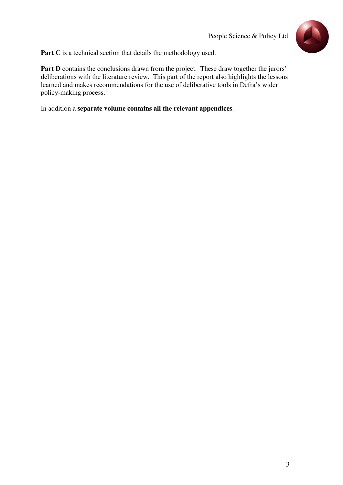

Part C is a technical section that details the methodology used.

Part D contains the conclusions drawn from the project. These draw together the jurors' deliberations with the literature review. This part of the report also highlights the lessons learned and makes recommendations for the use of deliberative tools in Defra's wider policy-making process.

In addition a **separate volume contains all the relevant appendices**.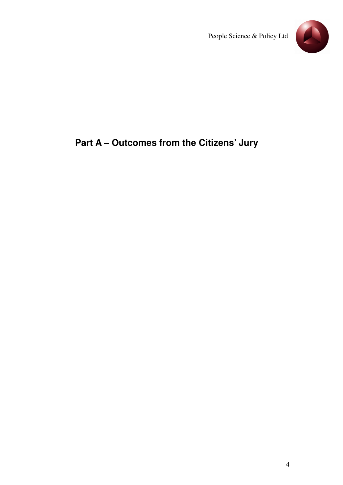

# **Part A – Outcomes from the Citizens' Jury**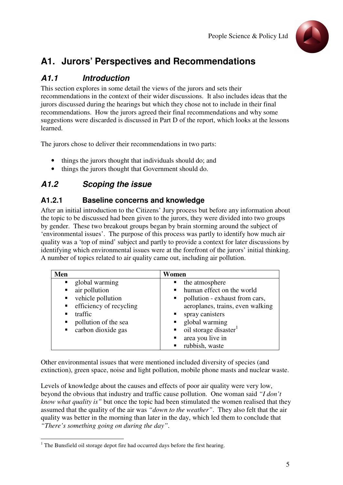

# **A1. Jurors' Perspectives and Recommendations**

# **A1.1 Introduction**

This section explores in some detail the views of the jurors and sets their recommendations in the context of their wider discussions. It also includes ideas that the jurors discussed during the hearings but which they chose not to include in their final recommendations. How the jurors agreed their final recommendations and why some suggestions were discarded is discussed in Part D of the report, which looks at the lessons learned.

The jurors chose to deliver their recommendations in two parts:

- things the jurors thought that individuals should do; and
- things the jurors thought that Government should do.

# **A1.2 Scoping the issue**

# **A1.2.1 Baseline concerns and knowledge**

After an initial introduction to the Citizens' Jury process but before any information about the topic to be discussed had been given to the jurors, they were divided into two groups by gender. These two breakout groups began by brain storming around the subject of 'environmental issues'. The purpose of this process was partly to identify how much air quality was a 'top of mind' subject and partly to provide a context for later discussions by identifying which environmental issues were at the forefront of the jurors' initial thinking. A number of topics related to air quality came out, including air pollution.

| Men                                                                                                | Women                                                                                                                                                                                |
|----------------------------------------------------------------------------------------------------|--------------------------------------------------------------------------------------------------------------------------------------------------------------------------------------|
| global warming<br>$\blacksquare$<br>air pollution<br>vehicle pollution                             | the atmosphere<br>• human effect on the world<br>pollution - exhaust from cars,                                                                                                      |
| efficiency of recycling<br>$\blacksquare$<br>traffic<br>pollution of the sea<br>carbon dioxide gas | aeroplanes, trains, even walking<br>spray canisters<br>global warming<br>oil storage disaster <sup>1</sup><br>area you live in<br>$\blacksquare$<br>rubbish, waste<br>$\blacksquare$ |

Other environmental issues that were mentioned included diversity of species (and extinction), green space, noise and light pollution, mobile phone masts and nuclear waste.

Levels of knowledge about the causes and effects of poor air quality were very low, beyond the obvious that industry and traffic cause pollution. One woman said *"I don't know what quality is"* but once the topic had been stimulated the women realised that they assumed that the quality of the air was *"down to the weather"*. They also felt that the air quality was better in the morning than later in the day, which led them to conclude that *"There's something going on during the day"*.

 1 The Bunsfield oil storage depot fire had occurred days before the first hearing.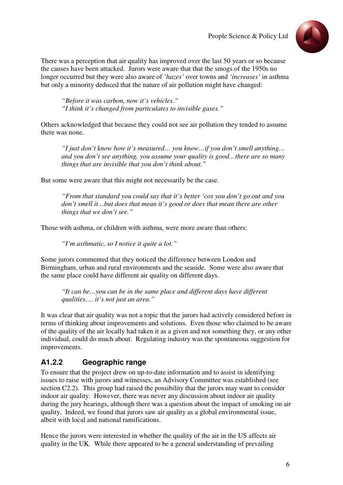

There was a perception that air quality has improved over the last 50 years or so because the causes have been attacked. Jurors were aware that that the smogs of the 1950s no longer occurred but they were also aware of *'hazes'* over towns and *'increases'* in asthma but only a minority deduced that the nature of air pollution might have changed:

*"Before it was carbon, now it's vehicles." "I think it's changed from particulates to invisible gases."*

Others acknowledged that because they could not see air pollution they tended to assume there was none.

*"I just don't know how it's measured… you know…if you don't smell anything… and you don't see anything, you assume your quality is good…there are so many things that are invisible that you don't think about."* 

But some were aware that this might not necessarily be the case.

*"From that standard you could say that it's better 'cos you don't go out and you don't smell it…but does that mean it's good or does that mean there are other things that we don't see."* 

Those with asthma, or children with asthma, were more aware than others:

*"I'm asthmatic, so I notice it quite a lot."* 

Some jurors commented that they noticed the difference between London and Birmingham, urban and rural environments and the seaside. Some were also aware that the same place could have different air quality on different days.

*"It can be…you can be in the same place and different days have different qualities…. it's not just an area."* 

It was clear that air quality was not a topic that the jurors had actively considered before in terms of thinking about improvements and solutions. Even those who claimed to be aware of the quality of the air locally had taken it as a given and not something they, or any other individual, could do much about. Regulating industry was the spontaneous suggestion for improvements.

# **A1.2.2 Geographic range**

To ensure that the project drew on up-to-date information and to assist in identifying issues to raise with jurors and witnesses, an Advisory Committee was established (see section C2.2). This group had raised the possibility that the jurors may want to consider indoor air quality. However, there was never any discussion about indoor air quality during the jury hearings, although there was a question about the impact of smoking on air quality. Indeed, we found that jurors saw air quality as a global environmental issue, albeit with local and national ramifications.

Hence the jurors were interested in whether the quality of the air in the US affects air quality in the UK. While there appeared to be a general understanding of prevailing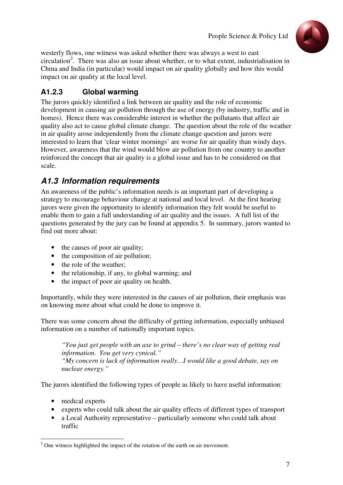

westerly flows, one witness was asked whether there was always a west to east circulation<sup>2</sup>. There was also an issue about whether, or to what extent, industrialisation in China and India (in particular) would impact on air quality globally and how this would impact on air quality at the local level.

# **A1.2.3 Global warming**

The jurors quickly identified a link between air quality and the role of economic development in causing air pollution through the use of energy (by industry, traffic and in homes). Hence there was considerable interest in whether the pollutants that affect air quality also act to cause global climate change. The question about the role of the weather in air quality arose independently from the climate change question and jurors were interested to learn that 'clear winter mornings' are worse for air quality than windy days. However, awareness that the wind would blow air pollution from one country to another reinforced the concept that air quality is a global issue and has to be considered on that scale.

# **A1.3 Information requirements**

An awareness of the public's information needs is an important part of developing a strategy to encourage behaviour change at national and local level. At the first hearing jurors were given the opportunity to identify information they felt would be useful to enable them to gain a full understanding of air quality and the issues. A full list of the questions generated by the jury can be found at appendix 5. In summary, jurors wanted to find out more about:

- the causes of poor air quality;
- the composition of air pollution;
- the role of the weather;
- the relationship, if any, to global warming; and
- the impact of poor air quality on health.

Importantly, while they were interested in the causes of air pollution, their emphasis was on knowing more about what could be done to improve it.

There was some concern about the difficulty of getting information, especially unbiased information on a number of nationally important topics.

*"You just get people with an axe to grind – there's no clear way of getting real information. You get very cynical." "My concern is lack of information really…I would like a good debate, say on nuclear energy."*

The jurors identified the following types of people as likely to have useful information:

- medical experts
- experts who could talk about the air quality effects of different types of transport
- a Local Authority representative particularly someone who could talk about traffic

<sup>&</sup>lt;sup>2</sup> One witness highlighted the impact of the rotation of the earth on air movement.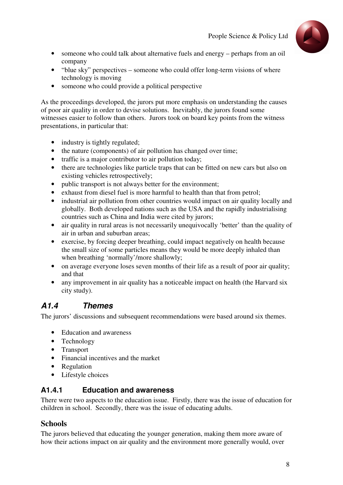

- someone who could talk about alternative fuels and energy perhaps from an oil company
- "blue sky" perspectives someone who could offer long-term visions of where technology is moving
- someone who could provide a political perspective

As the proceedings developed, the jurors put more emphasis on understanding the causes of poor air quality in order to devise solutions. Inevitably, the jurors found some witnesses easier to follow than others. Jurors took on board key points from the witness presentations, in particular that:

- industry is tightly regulated;
- the nature (components) of air pollution has changed over time;
- traffic is a major contributor to air pollution today;
- there are technologies like particle traps that can be fitted on new cars but also on existing vehicles retrospectively;
- public transport is not always better for the environment;
- exhaust from diesel fuel is more harmful to health than that from petrol;
- industrial air pollution from other countries would impact on air quality locally and globally. Both developed nations such as the USA and the rapidly industrialising countries such as China and India were cited by jurors;
- air quality in rural areas is not necessarily unequivocally 'better' than the quality of air in urban and suburban areas;
- exercise, by forcing deeper breathing, could impact negatively on health because the small size of some particles means they would be more deeply inhaled than when breathing 'normally'/more shallowly;
- on average everyone loses seven months of their life as a result of poor air quality; and that
- any improvement in air quality has a noticeable impact on health (the Harvard six city study).

# **A1.4 Themes**

The jurors' discussions and subsequent recommendations were based around six themes.

- Education and awareness
- Technology
- Transport
- Financial incentives and the market
- Regulation
- Lifestyle choices

# **A1.4.1 Education and awareness**

There were two aspects to the education issue. Firstly, there was the issue of education for children in school. Secondly, there was the issue of educating adults.

# **Schools**

The jurors believed that educating the younger generation, making them more aware of how their actions impact on air quality and the environment more generally would, over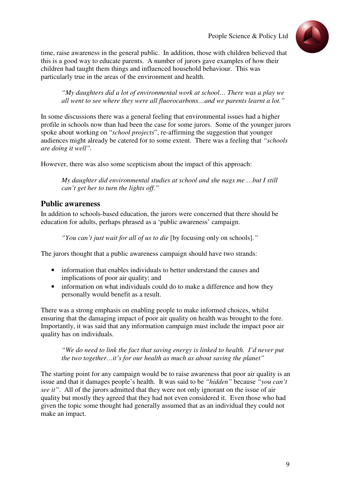

time, raise awareness in the general public. In addition, those with children believed that this is a good way to educate parents. A number of jurors gave examples of how their children had taught them things and influenced household behaviour. This was particularly true in the areas of the environment and health.

*"My daughters did a lot of environmental work at school… There was a play we all went to see where they were all fluorocarbons…and we parents learnt a lot."*

In some discussions there was a general feeling that environmental issues had a higher profile in schools now than had been the case for some jurors. Some of the younger jurors spoke about working on "*school projects*", re-affirming the suggestion that younger audiences might already be catered for to some extent. There was a feeling that *"schools are doing it well".*

However, there was also some scepticism about the impact of this approach:

*My daughter did environmental studies at school and she nags me …but I still can't get her to turn the lights off."* 

# **Public awareness**

In addition to schools-based education, the jurors were concerned that there should be education for adults, perhaps phrased as a 'public awareness' campaign.

*"You can't just wait for all of us to die* [by focusing only on schools].*"* 

The jurors thought that a public awareness campaign should have two strands:

- information that enables individuals to better understand the causes and implications of poor air quality; and
- information on what individuals could do to make a difference and how they personally would benefit as a result.

There was a strong emphasis on enabling people to make informed choices, whilst ensuring that the damaging impact of poor air quality on health was brought to the fore. Importantly, it was said that any information campaign must include the impact poor air quality has on individuals.

*"We do need to link the fact that saving energy is linked to health. I'd never put the two together…it's for our health as much as about saving the planet"*

The starting point for any campaign would be to raise awareness that poor air quality is an issue and that it damages people's health. It was said to be *"hidden"* because *"you can't see it"*. All of the jurors admitted that they were not only ignorant on the issue of air quality but mostly they agreed that they had not even considered it. Even those who had given the topic some thought had generally assumed that as an individual they could not make an impact.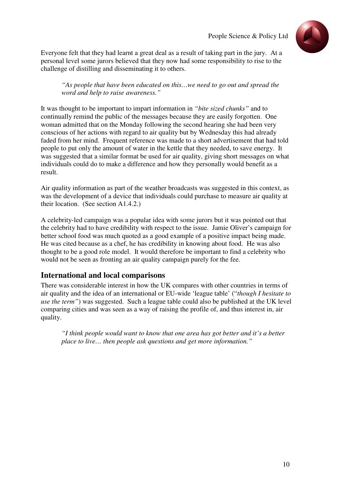

Everyone felt that they had learnt a great deal as a result of taking part in the jury. At a personal level some jurors believed that they now had some responsibility to rise to the challenge of distilling and disseminating it to others.

*"As people that have been educated on this…we need to go out and spread the word and help to raise awareness."* 

It was thought to be important to impart information in *"bite sized chunks"* and to continually remind the public of the messages because they are easily forgotten. One woman admitted that on the Monday following the second hearing she had been very conscious of her actions with regard to air quality but by Wednesday this had already faded from her mind. Frequent reference was made to a short advertisement that had told people to put only the amount of water in the kettle that they needed, to save energy. It was suggested that a similar format be used for air quality, giving short messages on what individuals could do to make a difference and how they personally would benefit as a result.

Air quality information as part of the weather broadcasts was suggested in this context, as was the development of a device that individuals could purchase to measure air quality at their location. (See section A1.4.2.)

A celebrity-led campaign was a popular idea with some jurors but it was pointed out that the celebrity had to have credibility with respect to the issue. Jamie Oliver's campaign for better school food was much quoted as a good example of a positive impact being made. He was cited because as a chef, he has credibility in knowing about food. He was also thought to be a good role model. It would therefore be important to find a celebrity who would not be seen as fronting an air quality campaign purely for the fee.

#### **International and local comparisons**

There was considerable interest in how the UK compares with other countries in terms of air quality and the idea of an international or EU-wide 'league table' ("*though I hesitate to use the term"*) was suggested. Such a league table could also be published at the UK level comparing cities and was seen as a way of raising the profile of, and thus interest in, air quality.

*"I think people would want to know that one area has got better and it's a better place to live… then people ask questions and get more information."*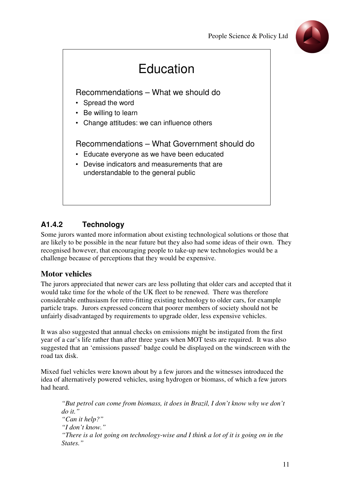



# **A1.4.2 Technology**

Some jurors wanted more information about existing technological solutions or those that are likely to be possible in the near future but they also had some ideas of their own. They recognised however, that encouraging people to take-up new technologies would be a challenge because of perceptions that they would be expensive.

# **Motor vehicles**

The jurors appreciated that newer cars are less polluting that older cars and accepted that it would take time for the whole of the UK fleet to be renewed. There was therefore considerable enthusiasm for retro-fitting existing technology to older cars, for example particle traps. Jurors expressed concern that poorer members of society should not be unfairly disadvantaged by requirements to upgrade older, less expensive vehicles.

It was also suggested that annual checks on emissions might be instigated from the first year of a car's life rather than after three years when MOT tests are required. It was also suggested that an 'emissions passed' badge could be displayed on the windscreen with the road tax disk.

Mixed fuel vehicles were known about by a few jurors and the witnesses introduced the idea of alternatively powered vehicles, using hydrogen or biomass, of which a few jurors had heard.

*"But petrol can come from biomass, it does in Brazil, I don't know why we don't do it." "Can it help?" "I don't know." "There is a lot going on technology-wise and I think a lot of it is going on in the States."*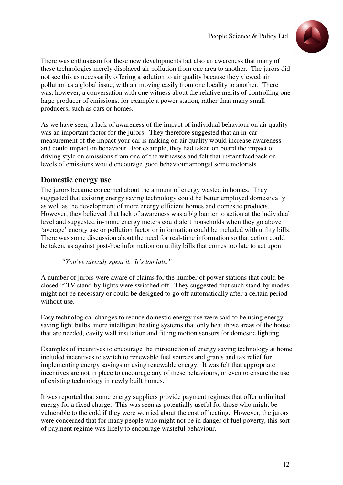

There was enthusiasm for these new developments but also an awareness that many of these technologies merely displaced air pollution from one area to another. The jurors did not see this as necessarily offering a solution to air quality because they viewed air pollution as a global issue, with air moving easily from one locality to another. There was, however, a conversation with one witness about the relative merits of controlling one large producer of emissions, for example a power station, rather than many small producers, such as cars or homes.

As we have seen, a lack of awareness of the impact of individual behaviour on air quality was an important factor for the jurors. They therefore suggested that an in-car measurement of the impact your car is making on air quality would increase awareness and could impact on behaviour. For example, they had taken on board the impact of driving style on emissions from one of the witnesses and felt that instant feedback on levels of emissions would encourage good behaviour amongst some motorists.

## **Domestic energy use**

The jurors became concerned about the amount of energy wasted in homes. They suggested that existing energy saving technology could be better employed domestically as well as the development of more energy efficient homes and domestic products. However, they believed that lack of awareness was a big barrier to action at the individual level and suggested in-home energy meters could alert households when they go above 'average' energy use or pollution factor or information could be included with utility bills. There was some discussion about the need for real-time information so that action could be taken, as against post-hoc information on utility bills that comes too late to act upon.

*"You've already spent it. It's too late."* 

A number of jurors were aware of claims for the number of power stations that could be closed if TV stand-by lights were switched off. They suggested that such stand-by modes might not be necessary or could be designed to go off automatically after a certain period without use.

Easy technological changes to reduce domestic energy use were said to be using energy saving light bulbs, more intelligent heating systems that only heat those areas of the house that are needed, cavity wall insulation and fitting motion sensors for domestic lighting.

Examples of incentives to encourage the introduction of energy saving technology at home included incentives to switch to renewable fuel sources and grants and tax relief for implementing energy savings or using renewable energy. It was felt that appropriate incentives are not in place to encourage any of these behaviours, or even to ensure the use of existing technology in newly built homes.

It was reported that some energy suppliers provide payment regimes that offer unlimited energy for a fixed charge. This was seen as potentially useful for those who might be vulnerable to the cold if they were worried about the cost of heating. However, the jurors were concerned that for many people who might not be in danger of fuel poverty, this sort of payment regime was likely to encourage wasteful behaviour.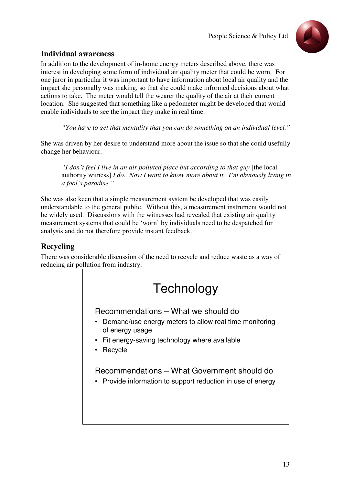

# **Individual awareness**

In addition to the development of in-home energy meters described above, there was interest in developing some form of individual air quality meter that could be worn. For one juror in particular it was important to have information about local air quality and the impact she personally was making, so that she could make informed decisions about what actions to take. The meter would tell the wearer the quality of the air at their current location. She suggested that something like a pedometer might be developed that would enable individuals to see the impact they make in real time.

*"You have to get that mentality that you can do something on an individual level."* 

She was driven by her desire to understand more about the issue so that she could usefully change her behaviour.

*"I don't feel I live in an air polluted place but according to that guy* [the local authority witness] *I do. Now I want to know more about it. I'm obviously living in a fool's paradise."*

She was also keen that a simple measurement system be developed that was easily understandable to the general public. Without this, a measurement instrument would not be widely used. Discussions with the witnesses had revealed that existing air quality measurement systems that could be 'worn' by individuals need to be despatched for analysis and do not therefore provide instant feedback.

# **Recycling**

There was considerable discussion of the need to recycle and reduce waste as a way of reducing air pollution from industry.

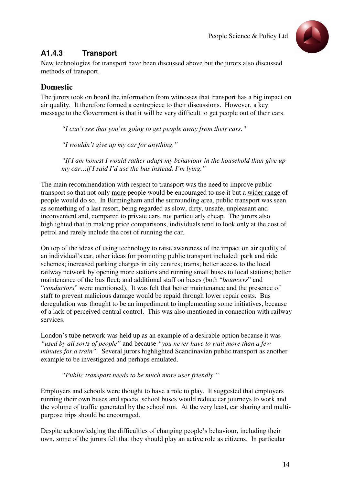

# **A1.4.3 Transport**

New technologies for transport have been discussed above but the jurors also discussed methods of transport.

# **Domestic**

The jurors took on board the information from witnesses that transport has a big impact on air quality. It therefore formed a centrepiece to their discussions. However, a key message to the Government is that it will be very difficult to get people out of their cars.

*"I can't see that you're going to get people away from their cars."*

*"I wouldn't give up my car for anything."*

*"If I am honest I would rather adapt my behaviour in the household than give up my car…if I said I'd use the bus instead, I'm lying."*

The main recommendation with respect to transport was the need to improve public transport so that not only more people would be encouraged to use it but a wider range of people would do so. In Birmingham and the surrounding area, public transport was seen as something of a last resort, being regarded as slow, dirty, unsafe, unpleasant and inconvenient and, compared to private cars, not particularly cheap. The jurors also highlighted that in making price comparisons, individuals tend to look only at the cost of petrol and rarely include the cost of running the car.

On top of the ideas of using technology to raise awareness of the impact on air quality of an individual's car, other ideas for promoting public transport included: park and ride schemes; increased parking charges in city centres; trams; better access to the local railway network by opening more stations and running small buses to local stations; better maintenance of the bus fleet; and additional staff on buses (both "*bouncers*" and "*conductors*" were mentioned). It was felt that better maintenance and the presence of staff to prevent malicious damage would be repaid through lower repair costs. Bus deregulation was thought to be an impediment to implementing some initiatives, because of a lack of perceived central control. This was also mentioned in connection with railway services.

London's tube network was held up as an example of a desirable option because it was *"used by all sorts of people"* and because *"you never have to wait more than a few minutes for a train".* Several jurors highlighted Scandinavian public transport as another example to be investigated and perhaps emulated.

#### *"Public transport needs to be much more user friendly."*

Employers and schools were thought to have a role to play. It suggested that employers running their own buses and special school buses would reduce car journeys to work and the volume of traffic generated by the school run. At the very least, car sharing and multipurpose trips should be encouraged.

Despite acknowledging the difficulties of changing people's behaviour, including their own, some of the jurors felt that they should play an active role as citizens. In particular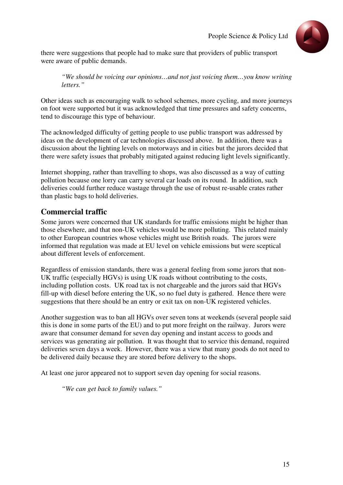

there were suggestions that people had to make sure that providers of public transport were aware of public demands.

*"We should be voicing our opinions…and not just voicing them…you know writing letters."*

Other ideas such as encouraging walk to school schemes, more cycling, and more journeys on foot were supported but it was acknowledged that time pressures and safety concerns, tend to discourage this type of behaviour.

The acknowledged difficulty of getting people to use public transport was addressed by ideas on the development of car technologies discussed above. In addition, there was a discussion about the lighting levels on motorways and in cities but the jurors decided that there were safety issues that probably mitigated against reducing light levels significantly.

Internet shopping, rather than travelling to shops, was also discussed as a way of cutting pollution because one lorry can carry several car loads on its round. In addition, such deliveries could further reduce wastage through the use of robust re-usable crates rather than plastic bags to hold deliveries.

## **Commercial traffic**

Some jurors were concerned that UK standards for traffic emissions might be higher than those elsewhere, and that non-UK vehicles would be more polluting. This related mainly to other European countries whose vehicles might use British roads. The jurors were informed that regulation was made at EU level on vehicle emissions but were sceptical about different levels of enforcement.

Regardless of emission standards, there was a general feeling from some jurors that non-UK traffic (especially HGVs) is using UK roads without contributing to the costs, including pollution costs. UK road tax is not chargeable and the jurors said that HGVs fill-up with diesel before entering the UK, so no fuel duty is gathered. Hence there were suggestions that there should be an entry or exit tax on non-UK registered vehicles.

Another suggestion was to ban all HGVs over seven tons at weekends (several people said this is done in some parts of the EU) and to put more freight on the railway. Jurors were aware that consumer demand for seven day opening and instant access to goods and services was generating air pollution. It was thought that to service this demand, required deliveries seven days a week. However, there was a view that many goods do not need to be delivered daily because they are stored before delivery to the shops.

At least one juror appeared not to support seven day opening for social reasons.

*"We can get back to family values."*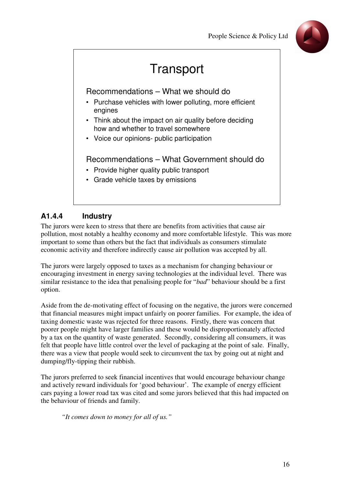

# **Transport**

Recommendations – What we should do

- Purchase vehicles with lower polluting, more efficient engines
- Think about the impact on air quality before deciding how and whether to travel somewhere
- Voice our opinions- public participation

Recommendations – What Government should do

- Provide higher quality public transport
- Grade vehicle taxes by emissions

# **A1.4.4 Industry**

The jurors were keen to stress that there are benefits from activities that cause air pollution, most notably a healthy economy and more comfortable lifestyle. This was more important to some than others but the fact that individuals as consumers stimulate economic activity and therefore indirectly cause air pollution was accepted by all.

The jurors were largely opposed to taxes as a mechanism for changing behaviour or encouraging investment in energy saving technologies at the individual level. There was similar resistance to the idea that penalising people for "*bad*" behaviour should be a first option.

Aside from the de-motivating effect of focusing on the negative, the jurors were concerned that financial measures might impact unfairly on poorer families. For example, the idea of taxing domestic waste was rejected for three reasons. Firstly, there was concern that poorer people might have larger families and these would be disproportionately affected by a tax on the quantity of waste generated. Secondly, considering all consumers, it was felt that people have little control over the level of packaging at the point of sale. Finally, there was a view that people would seek to circumvent the tax by going out at night and dumping/fly-tipping their rubbish.

The jurors preferred to seek financial incentives that would encourage behaviour change and actively reward individuals for 'good behaviour'. The example of energy efficient cars paying a lower road tax was cited and some jurors believed that this had impacted on the behaviour of friends and family.

*"It comes down to money for all of us."*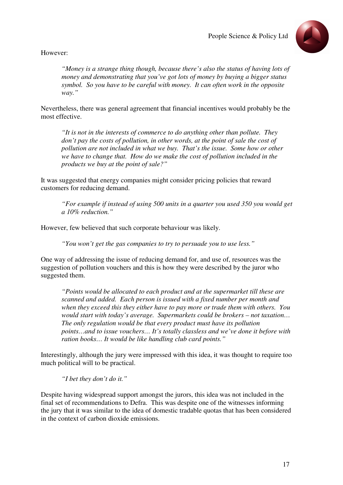

However:

*"Money is a strange thing though, because there's also the status of having lots of money and demonstrating that you've got lots of money by buying a bigger status symbol. So you have to be careful with money. It can often work in the opposite way."*

Nevertheless, there was general agreement that financial incentives would probably be the most effective.

*"It is not in the interests of commerce to do anything other than pollute. They don't pay the costs of pollution, in other words, at the point of sale the cost of pollution are not included in what we buy. That's the issue. Some how or other we have to change that. How do we make the cost of pollution included in the products we buy at the point of sale?"*

It was suggested that energy companies might consider pricing policies that reward customers for reducing demand.

*"For example if instead of using 500 units in a quarter you used 350 you would get a 10% reduction."*

However, few believed that such corporate behaviour was likely.

*"You won't get the gas companies to try to persuade you to use less."*

One way of addressing the issue of reducing demand for, and use of, resources was the suggestion of pollution vouchers and this is how they were described by the juror who suggested them.

*"Points would be allocated to each product and at the supermarket till these are scanned and added. Each person is issued with a fixed number per month and when they exceed this they either have to pay more or trade them with others. You would start with today's average. Supermarkets could be brokers – not taxation… The only regulation would be that every product must have its pollution points…and to issue vouchers… It's totally classless and we've done it before with ration books… It would be like handling club card points."* 

Interestingly, although the jury were impressed with this idea, it was thought to require too much political will to be practical.

*"I bet they don't do it."* 

Despite having widespread support amongst the jurors, this idea was not included in the final set of recommendations to Defra. This was despite one of the witnesses informing the jury that it was similar to the idea of domestic tradable quotas that has been considered in the context of carbon dioxide emissions.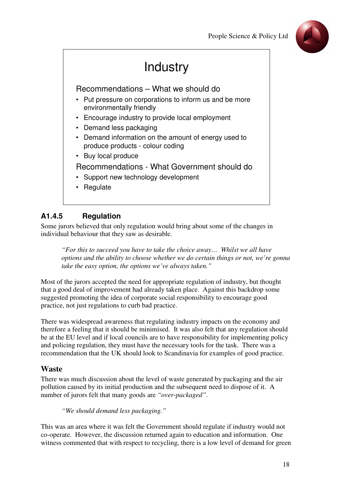

# **Industry**

Recommendations – What we should do

- Put pressure on corporations to inform us and be more environmentally friendly
- Encourage industry to provide local employment
- Demand less packaging
- Demand information on the amount of energy used to produce products - colour coding
- Buy local produce

#### Recommendations - What Government should do

- Support new technology development
- Regulate

# **A1.4.5 Regulation**

Some jurors believed that only regulation would bring about some of the changes in individual behaviour that they saw as desirable.

*"For this to succeed you have to take the choice away… Whilst we all have options and the ability to choose whether we do certain things or not, we're gonna take the easy option, the options we've always taken."* 

Most of the jurors accepted the need for appropriate regulation of industry, but thought that a good deal of improvement had already taken place. Against this backdrop some suggested promoting the idea of corporate social responsibility to encourage good practice, not just regulations to curb bad practice.

There was widespread awareness that regulating industry impacts on the economy and therefore a feeling that it should be minimised. It was also felt that any regulation should be at the EU level and if local councils are to have responsibility for implementing policy and policing regulation, they must have the necessary tools for the task. There was a recommendation that the UK should look to Scandinavia for examples of good practice.

#### **Waste**

There was much discussion about the level of waste generated by packaging and the air pollution caused by its initial production and the subsequent need to dispose of it. A number of jurors felt that many goods are *"over-packaged"*.

*"We should demand less packaging."*

This was an area where it was felt the Government should regulate if industry would not co-operate. However, the discussion returned again to education and information. One witness commented that with respect to recycling, there is a low level of demand for green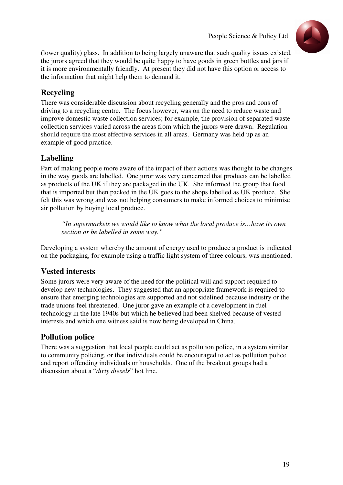

(lower quality) glass. In addition to being largely unaware that such quality issues existed, the jurors agreed that they would be quite happy to have goods in green bottles and jars if it is more environmentally friendly. At present they did not have this option or access to the information that might help them to demand it.

# **Recycling**

There was considerable discussion about recycling generally and the pros and cons of driving to a recycling centre. The focus however, was on the need to reduce waste and improve domestic waste collection services; for example, the provision of separated waste collection services varied across the areas from which the jurors were drawn. Regulation should require the most effective services in all areas. Germany was held up as an example of good practice.

# **Labelling**

Part of making people more aware of the impact of their actions was thought to be changes in the way goods are labelled. One juror was very concerned that products can be labelled as products of the UK if they are packaged in the UK. She informed the group that food that is imported but then packed in the UK goes to the shops labelled as UK produce. She felt this was wrong and was not helping consumers to make informed choices to minimise air pollution by buying local produce.

*"In supermarkets we would like to know what the local produce is…have its own section or be labelled in some way."*

Developing a system whereby the amount of energy used to produce a product is indicated on the packaging, for example using a traffic light system of three colours, was mentioned.

# **Vested interests**

Some jurors were very aware of the need for the political will and support required to develop new technologies. They suggested that an appropriate framework is required to ensure that emerging technologies are supported and not sidelined because industry or the trade unions feel threatened. One juror gave an example of a development in fuel technology in the late 1940s but which he believed had been shelved because of vested interests and which one witness said is now being developed in China.

# **Pollution police**

There was a suggestion that local people could act as pollution police, in a system similar to community policing, or that individuals could be encouraged to act as pollution police and report offending individuals or households. One of the breakout groups had a discussion about a "*dirty diesels*" hot line.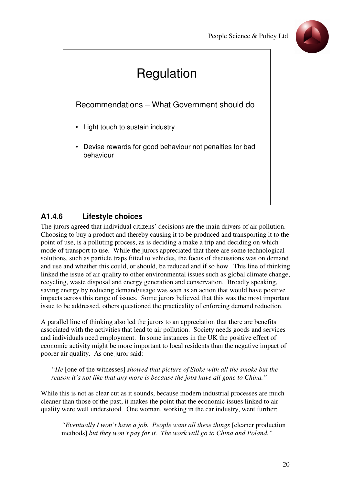

# Regulation Recommendations – What Government should do • Light touch to sustain industry • Devise rewards for good behaviour not penalties for bad behaviour

# **A1.4.6 Lifestyle choices**

The jurors agreed that individual citizens' decisions are the main drivers of air pollution. Choosing to buy a product and thereby causing it to be produced and transporting it to the point of use, is a polluting process, as is deciding a make a trip and deciding on which mode of transport to use. While the jurors appreciated that there are some technological solutions, such as particle traps fitted to vehicles, the focus of discussions was on demand and use and whether this could, or should, be reduced and if so how. This line of thinking linked the issue of air quality to other environmental issues such as global climate change, recycling, waste disposal and energy generation and conservation. Broadly speaking, saving energy by reducing demand/usage was seen as an action that would have positive impacts across this range of issues. Some jurors believed that this was the most important issue to be addressed, others questioned the practicality of enforcing demand reduction.

A parallel line of thinking also led the jurors to an appreciation that there are benefits associated with the activities that lead to air pollution. Society needs goods and services and individuals need employment. In some instances in the UK the positive effect of economic activity might be more important to local residents than the negative impact of poorer air quality. As one juror said:

*"He* [one of the witnesses] *showed that picture of Stoke with all the smoke but the reason it's not like that any more is because the jobs have all gone to China."*

While this is not as clear cut as it sounds, because modern industrial processes are much cleaner than those of the past, it makes the point that the economic issues linked to air quality were well understood. One woman, working in the car industry, went further:

*"Eventually I won't have a job. People want all these things* [cleaner production methods] *but they won't pay for it. The work will go to China and Poland."*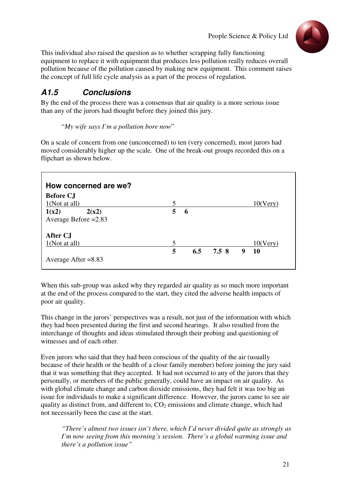

This individual also raised the question as to whether scrapping fully functioning equipment to replace it with equipment that produces less pollution really reduces overall pollution because of the pollution caused by making new equipment. This comment raises the concept of full life cycle analysis as a part of the process of regulation.

# **A1.5 Conclusions**

By the end of the process there was a consensus that air quality is a more serious issue than any of the jurors had thought before they joined this jury.

"*My wife says I'm a pollution bore now*"

On a scale of concern from one (unconcerned) to ten (very concerned), most jurors had moved considerably higher up the scale. One of the break-out groups recorded this on a flipchart as shown below.

| How concerned are we?  |                 |     |       |   |             |
|------------------------|-----------------|-----|-------|---|-------------|
| <b>Before CJ</b>       |                 |     |       |   |             |
| 1(Not at all)          | 5               |     |       |   | $10$ (Very) |
| 1(x2)<br>2(x2)         | $5\overline{)}$ | 6   |       |   |             |
| Average Before $=2.83$ |                 |     |       |   |             |
| After CJ               |                 |     |       |   |             |
| 1(Not at all)          | 5               |     |       |   | $10(V$ ery) |
|                        | 5               | 6.5 | 7.5 8 | 9 | <b>10</b>   |
| Average After $= 8.83$ |                 |     |       |   |             |

When this sub-group was asked why they regarded air quality as so much more important at the end of the process compared to the start, they cited the adverse health impacts of poor air quality.

This change in the jurors' perspectives was a result, not just of the information with which they had been presented during the first and second hearings. It also resulted from the interchange of thoughts and ideas stimulated through their probing and questioning of witnesses and of each other.

Even jurors who said that they had been conscious of the quality of the air (usually because of their health or the health of a close family member) before joining the jury said that it was something that they accepted. It had not occurred to any of the jurors that they personally, or members of the public generally, could have an impact on air quality. As with global climate change and carbon dioxide emissions, they had felt it was too big an issue for individuals to make a significant difference. However, the jurors came to see air quality as distinct from, and different to,  $CO<sub>2</sub>$  emissions and climate change, which had not necessarily been the case at the start.

*"There's almost two issues isn't there, which I'd never divided quite as strongly as I'm now seeing from this morning's session. There's a global warming issue and there's a pollution issue"*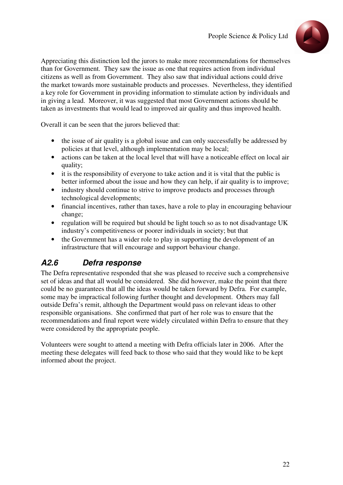

Appreciating this distinction led the jurors to make more recommendations for themselves than for Government. They saw the issue as one that requires action from individual citizens as well as from Government. They also saw that individual actions could drive the market towards more sustainable products and processes. Nevertheless, they identified a key role for Government in providing information to stimulate action by individuals and in giving a lead. Moreover, it was suggested that most Government actions should be taken as investments that would lead to improved air quality and thus improved health.

Overall it can be seen that the jurors believed that:

- the issue of air quality is a global issue and can only successfully be addressed by policies at that level, although implementation may be local;
- actions can be taken at the local level that will have a noticeable effect on local air quality;
- it is the responsibility of everyone to take action and it is vital that the public is better informed about the issue and how they can help, if air quality is to improve;
- industry should continue to strive to improve products and processes through technological developments;
- financial incentives, rather than taxes, have a role to play in encouraging behaviour change;
- regulation will be required but should be light touch so as to not disadvantage UK industry's competitiveness or poorer individuals in society; but that
- the Government has a wider role to play in supporting the development of an infrastructure that will encourage and support behaviour change.

# **A2.6 Defra response**

The Defra representative responded that she was pleased to receive such a comprehensive set of ideas and that all would be considered. She did however, make the point that there could be no guarantees that all the ideas would be taken forward by Defra. For example, some may be impractical following further thought and development. Others may fall outside Defra's remit, although the Department would pass on relevant ideas to other responsible organisations. She confirmed that part of her role was to ensure that the recommendations and final report were widely circulated within Defra to ensure that they were considered by the appropriate people.

Volunteers were sought to attend a meeting with Defra officials later in 2006. After the meeting these delegates will feed back to those who said that they would like to be kept informed about the project.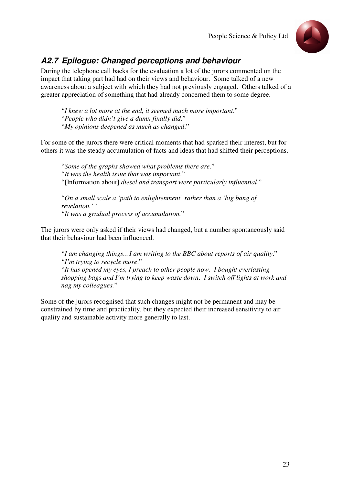

# **A2.7 Epilogue: Changed perceptions and behaviour**

During the telephone call backs for the evaluation a lot of the jurors commented on the impact that taking part had had on their views and behaviour. Some talked of a new awareness about a subject with which they had not previously engaged. Others talked of a greater appreciation of something that had already concerned them to some degree.

"*I knew a lot more at the end, it seemed much more important*." "*People who didn't give a damn finally did*." "*My opinions deepened as much as changed*."

For some of the jurors there were critical moments that had sparked their interest, but for others it was the steady accumulation of facts and ideas that had shifted their perceptions.

"*Some of the graphs showed what problems there are*." "*It was the health issue that was important*." "[Information about] *diesel and transport were particularly influential*."

"*On a small scale a 'path to enlightenment' rather than a 'big bang of revelation.'"* "*It was a gradual process of accumulation.*"

The jurors were only asked if their views had changed, but a number spontaneously said that their behaviour had been influenced.

"*I am changing things…I am writing to the BBC about reports of air quality*." "*I'm trying to recycle more*." "*It has opened my eyes, I preach to other people now. I bought everlasting* 

*shopping bags and I'm trying to keep waste down*. *I switch off lights at work and nag my colleagues.*"

Some of the jurors recognised that such changes might not be permanent and may be constrained by time and practicality, but they expected their increased sensitivity to air quality and sustainable activity more generally to last.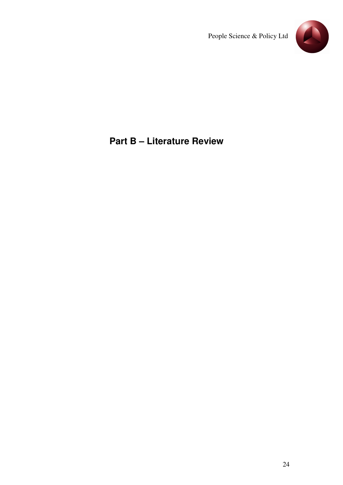

# **Part B – Literature Review**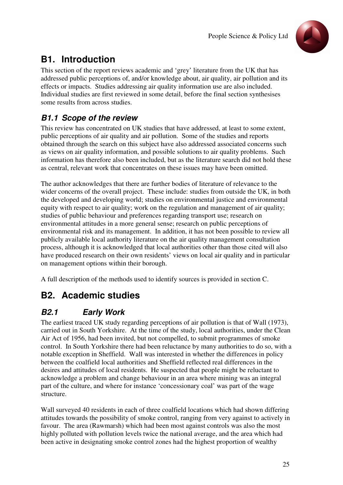

# **B1. Introduction**

This section of the report reviews academic and 'grey' literature from the UK that has addressed public perceptions of, and/or knowledge about, air quality, air pollution and its effects or impacts. Studies addressing air quality information use are also included. Individual studies are first reviewed in some detail, before the final section synthesises some results from across studies.

# **B1.1 Scope of the review**

This review has concentrated on UK studies that have addressed, at least to some extent, public perceptions of air quality and air pollution. Some of the studies and reports obtained through the search on this subject have also addressed associated concerns such as views on air quality information, and possible solutions to air quality problems. Such information has therefore also been included, but as the literature search did not hold these as central, relevant work that concentrates on these issues may have been omitted.

The author acknowledges that there are further bodies of literature of relevance to the wider concerns of the overall project. These include: studies from outside the UK, in both the developed and developing world; studies on environmental justice and environmental equity with respect to air quality; work on the regulation and management of air quality; studies of public behaviour and preferences regarding transport use; research on environmental attitudes in a more general sense; research on public perceptions of environmental risk and its management. In addition, it has not been possible to review all publicly available local authority literature on the air quality management consultation process, although it is acknowledged that local authorities other than those cited will also have produced research on their own residents' views on local air quality and in particular on management options within their borough.

A full description of the methods used to identify sources is provided in section C.

# **B2. Academic studies**

# **B2.1 Early Work**

The earliest traced UK study regarding perceptions of air pollution is that of Wall (1973), carried out in South Yorkshire. At the time of the study, local authorities, under the Clean Air Act of 1956, had been invited, but not compelled, to submit programmes of smoke control. In South Yorkshire there had been reluctance by many authorities to do so, with a notable exception in Sheffield. Wall was interested in whether the differences in policy between the coalfield local authorities and Sheffield reflected real differences in the desires and attitudes of local residents. He suspected that people might be reluctant to acknowledge a problem and change behaviour in an area where mining was an integral part of the culture, and where for instance 'concessionary coal' was part of the wage structure.

Wall surveyed 40 residents in each of three coalfield locations which had shown differing attitudes towards the possibility of smoke control, ranging from very against to actively in favour. The area (Rawmarsh) which had been most against controls was also the most highly polluted with pollution levels twice the national average, and the area which had been active in designating smoke control zones had the highest proportion of wealthy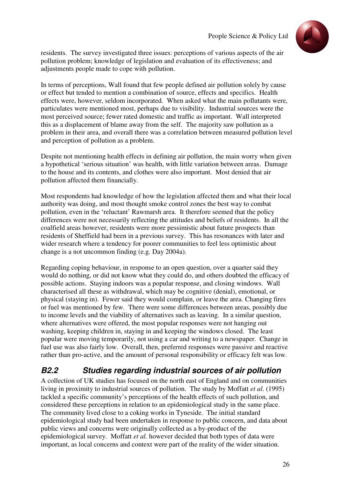

residents. The survey investigated three issues: perceptions of various aspects of the air pollution problem; knowledge of legislation and evaluation of its effectiveness; and adjustments people made to cope with pollution.

In terms of perceptions, Wall found that few people defined air pollution solely by cause or effect but tended to mention a combination of source, effects and specifics. Health effects were, however, seldom incorporated. When asked what the main pollutants were, particulates were mentioned most, perhaps due to visibility. Industrial sources were the most perceived source; fewer rated domestic and traffic as important. Wall interpreted this as a displacement of blame away from the self. The majority saw pollution as a problem in their area, and overall there was a correlation between measured pollution level and perception of pollution as a problem.

Despite not mentioning health effects in defining air pollution, the main worry when given a hypothetical 'serious situation' was health, with little variation between areas. Damage to the house and its contents, and clothes were also important. Most denied that air pollution affected them financially.

Most respondents had knowledge of how the legislation affected them and what their local authority was doing, and most thought smoke control zones the best way to combat pollution, even in the 'reluctant' Rawmarsh area. It therefore seemed that the policy differences were not necessarily reflecting the attitudes and beliefs of residents. In all the coalfield areas however, residents were more pessimistic about future prospects than residents of Sheffield had been in a previous survey. This has resonances with later and wider research where a tendency for poorer communities to feel less optimistic about change is a not uncommon finding (e.g. Day 2004a).

Regarding coping behaviour, in response to an open question, over a quarter said they would do nothing, or did not know what they could do, and others doubted the efficacy of possible actions. Staying indoors was a popular response, and closing windows. Wall characterised all these as withdrawal, which may be cognitive (denial), emotional, or physical (staying in). Fewer said they would complain, or leave the area. Changing fires or fuel was mentioned by few. There were some differences between areas, possibly due to income levels and the viability of alternatives such as leaving. In a similar question, where alternatives were offered, the most popular responses were not hanging out washing, keeping children in, staying in and keeping the windows closed. The least popular were moving temporarily, not using a car and writing to a newspaper. Change in fuel use was also fairly low. Overall, then, preferred responses were passive and reactive rather than pro-active, and the amount of personal responsibility or efficacy felt was low.

## **B2.2 Studies regarding industrial sources of air pollution**

A collection of UK studies has focused on the north east of England and on communities living in proximity to industrial sources of pollution. The study by Moffatt *et al*. (1995) tackled a specific community's perceptions of the health effects of such pollution, and considered these perceptions in relation to an epidemiological study in the same place. The community lived close to a coking works in Tyneside. The initial standard epidemiological study had been undertaken in response to public concern, and data about public views and concerns were originally collected as a by-product of the epidemiological survey. Moffatt *et al.* however decided that both types of data were important, as local concerns and context were part of the reality of the wider situation.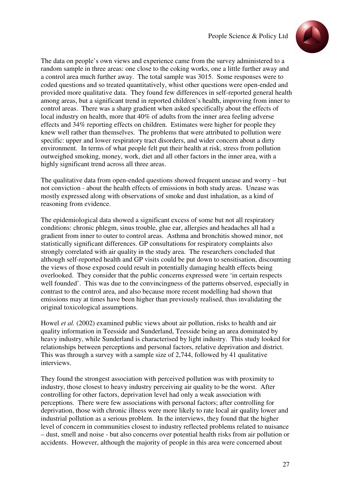

The data on people's own views and experience came from the survey administered to a random sample in three areas: one close to the coking works, one a little further away and a control area much further away. The total sample was 3015. Some responses were to coded questions and so treated quantitatively, whist other questions were open-ended and provided more qualitative data. They found few differences in self-reported general health among areas, but a significant trend in reported children's health, improving from inner to control areas. There was a sharp gradient when asked specifically about the effects of local industry on health, more that 40% of adults from the inner area feeling adverse effects and 34% reporting effects on children. Estimates were higher for people they knew well rather than themselves. The problems that were attributed to pollution were specific: upper and lower respiratory tract disorders, and wider concern about a dirty environment. In terms of what people felt put their health at risk, stress from pollution outweighed smoking, money, work, diet and all other factors in the inner area, with a highly significant trend across all three areas.

The qualitative data from open-ended questions showed frequent unease and worry – but not conviction - about the health effects of emissions in both study areas. Unease was mostly expressed along with observations of smoke and dust inhalation, as a kind of reasoning from evidence.

The epidemiological data showed a significant excess of some but not all respiratory conditions: chronic phlegm, sinus trouble, glue ear, allergies and headaches all had a gradient from inner to outer to control areas. Asthma and bronchitis showed minor, not statistically significant differences. GP consultations for respiratory complaints also strongly correlated with air quality in the study area. The researchers concluded that although self-reported health and GP visits could be put down to sensitisation, discounting the views of those exposed could result in potentially damaging health effects being overlooked. They consider that the public concerns expressed were 'in certain respects well founded'. This was due to the convincingness of the patterns observed, especially in contrast to the control area, and also because more recent modelling had shown that emissions may at times have been higher than previously realised, thus invalidating the original toxicological assumptions.

Howel *et al.* (2002) examined public views about air pollution, risks to health and air quality information in Teesside and Sunderland, Teesside being an area dominated by heavy industry, while Sunderland is characterised by light industry. This study looked for relationships between perceptions and personal factors, relative deprivation and district. This was through a survey with a sample size of 2,744, followed by 41 qualitative interviews.

They found the strongest association with perceived pollution was with proximity to industry, those closest to heavy industry perceiving air quality to be the worst. After controlling for other factors, deprivation level had only a weak association with perceptions. There were few associations with personal factors; after controlling for deprivation, those with chronic illness were more likely to rate local air quality lower and industrial pollution as a serious problem. In the interviews, they found that the higher level of concern in communities closest to industry reflected problems related to nuisance – dust, smell and noise - but also concerns over potential health risks from air pollution or accidents. However, although the majority of people in this area were concerned about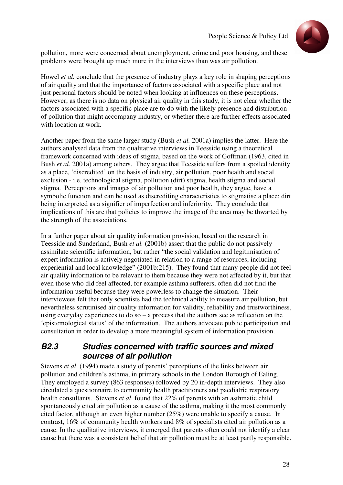

pollution, more were concerned about unemployment, crime and poor housing, and these problems were brought up much more in the interviews than was air pollution.

Howel *et al.* conclude that the presence of industry plays a key role in shaping perceptions of air quality and that the importance of factors associated with a specific place and not just personal factors should be noted when looking at influences on these perceptions. However, as there is no data on physical air quality in this study, it is not clear whether the factors associated with a specific place are to do with the likely presence and distribution of pollution that might accompany industry, or whether there are further effects associated with location at work.

Another paper from the same larger study (Bush *et al.* 2001a) implies the latter. Here the authors analysed data from the qualitative interviews in Teesside using a theoretical framework concerned with ideas of stigma, based on the work of Goffman (1963, cited in Bush *et al.* 2001a) among others. They argue that Teesside suffers from a spoiled identity as a place, 'discredited' on the basis of industry, air pollution, poor health and social exclusion - i.e. technological stigma, pollution (dirt) stigma, health stigma and social stigma. Perceptions and images of air pollution and poor health, they argue, have a symbolic function and can be used as discrediting characteristics to stigmatise a place: dirt being interpreted as a signifier of imperfection and inferiority. They conclude that implications of this are that policies to improve the image of the area may be thwarted by the strength of the associations.

In a further paper about air quality information provision, based on the research in Teesside and Sunderland, Bush *et al.* (2001b) assert that the public do not passively assimilate scientific information, but rather "the social validation and legitimisation of expert information is actively negotiated in relation to a range of resources, including experiential and local knowledge" (2001b:215). They found that many people did not feel air quality information to be relevant to them because they were not affected by it, but that even those who did feel affected, for example asthma sufferers, often did not find the information useful because they were powerless to change the situation. Their interviewees felt that only scientists had the technical ability to measure air pollution, but nevertheless scrutinised air quality information for validity, reliability and trustworthiness, using everyday experiences to do so – a process that the authors see as reflection on the 'epistemological status' of the information. The authors advocate public participation and consultation in order to develop a more meaningful system of information provision.

### **B2.3 Studies concerned with traffic sources and mixed sources of air pollution**

Stevens *et al*. (1994) made a study of parents' perceptions of the links between air pollution and children's asthma, in primary schools in the London Borough of Ealing. They employed a survey (863 responses) followed by 20 in-depth interviews. They also circulated a questionnaire to community health practitioners and paediatric respiratory health consultants. Stevens *et al*. found that 22% of parents with an asthmatic child spontaneously cited air pollution as a cause of the asthma, making it the most commonly cited factor, although an even higher number (25%) were unable to specify a cause. In contrast, 16% of community health workers and 8% of specialists cited air pollution as a cause. In the qualitative interviews, it emerged that parents often could not identify a clear cause but there was a consistent belief that air pollution must be at least partly responsible.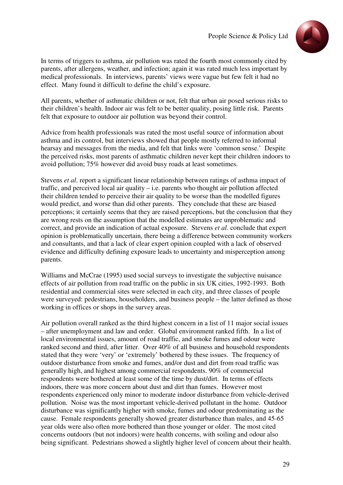

In terms of triggers to asthma, air pollution was rated the fourth most commonly cited by parents, after allergens, weather, and infection; again it was rated much less important by medical professionals. In interviews, parents' views were vague but few felt it had no effect. Many found it difficult to define the child's exposure.

All parents, whether of asthmatic children or not, felt that urban air posed serious risks to their children's health. Indoor air was felt to be better quality, posing little risk. Parents felt that exposure to outdoor air pollution was beyond their control.

Advice from health professionals was rated the most useful source of information about asthma and its control, but interviews showed that people mostly referred to informal hearsay and messages from the media, and felt that links were 'common sense.' Despite the perceived risks, most parents of asthmatic children never kept their children indoors to avoid pollution; 75% however did avoid busy roads at least sometimes.

Stevens *et al*. report a significant linear relationship between ratings of asthma impact of traffic, and perceived local air quality – i.e. parents who thought air pollution affected their children tended to perceive their air quality to be worse than the modelled figures would predict, and worse than did other parents. They conclude that these are biased perceptions; it certainly seems that they are raised perceptions, but the conclusion that they are wrong rests on the assumption that the modelled estimates are unproblematic and correct, and provide an indication of actual exposure. Stevens *et al.* conclude that expert opinion is problematically uncertain, there being a difference between community workers and consultants, and that a lack of clear expert opinion coupled with a lack of observed evidence and difficulty defining exposure leads to uncertainty and misperception among parents.

Williams and McCrae (1995) used social surveys to investigate the subjective nuisance effects of air pollution from road traffic on the public in six UK cities, 1992-1993. Both residential and commercial sites were selected in each city, and three classes of people were surveyed: pedestrians, householders, and business people – the latter defined as those working in offices or shops in the survey areas.

Air pollution overall ranked as the third highest concern in a list of 11 major social issues – after unemployment and law and order. Global environment ranked fifth. In a list of local environmental issues, amount of road traffic, and smoke fumes and odour were ranked second and third, after litter. Over 40% of all business and household respondents stated that they were 'very' or 'extremely' bothered by these issues. The frequency of outdoor disturbance from smoke and fumes, and/or dust and dirt from road traffic was generally high, and highest among commercial respondents. 90% of commercial respondents were bothered at least some of the time by dust/dirt. In terms of effects indoors, there was more concern about dust and dirt than fumes. However most respondents experienced only minor to moderate indoor disturbance from vehicle-derived pollution. Noise was the most important vehicle-derived pollutant in the home. Outdoor disturbance was significantly higher with smoke, fumes and odour predominating as the cause. Female respondents generally showed greater disturbance than males, and 45-65 year olds were also often more bothered than those younger or older. The most cited concerns outdoors (but not indoors) were health concerns, with soiling and odour also being significant. Pedestrians showed a slightly higher level of concern about their health.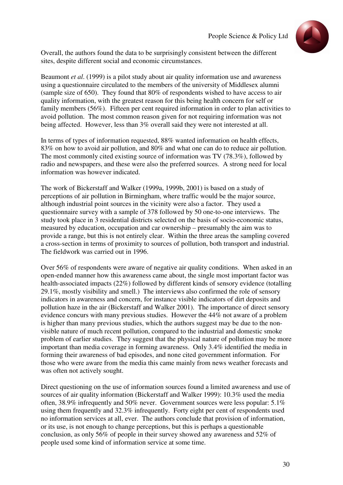

Overall, the authors found the data to be surprisingly consistent between the different sites, despite different social and economic circumstances.

Beaumont *et al*. (1999) is a pilot study about air quality information use and awareness using a questionnaire circulated to the members of the university of Middlesex alumni (sample size of 650). They found that 80% of respondents wished to have access to air quality information, with the greatest reason for this being health concern for self or family members (56%). Fifteen per cent required information in order to plan activities to avoid pollution. The most common reason given for not requiring information was not being affected. However, less than 3% overall said they were not interested at all.

In terms of types of information requested, 88% wanted information on health effects, 83% on how to avoid air pollution, and 80% and what one can do to reduce air pollution. The most commonly cited existing source of information was TV (78.3%), followed by radio and newspapers, and these were also the preferred sources. A strong need for local information was however indicated.

The work of Bickerstaff and Walker (1999a, 1999b, 2001) is based on a study of perceptions of air pollution in Birmingham, where traffic would be the major source, although industrial point sources in the vicinity were also a factor. They used a questionnaire survey with a sample of 378 followed by 50 one-to-one interviews. The study took place in 3 residential districts selected on the basis of socio-economic status, measured by education, occupation and car ownership – presumably the aim was to provide a range, but this is not entirely clear. Within the three areas the sampling covered a cross-section in terms of proximity to sources of pollution, both transport and industrial. The fieldwork was carried out in 1996.

Over 56% of respondents were aware of negative air quality conditions. When asked in an open-ended manner how this awareness came about, the single most important factor was health-associated impacts (22%) followed by different kinds of sensory evidence (totalling 29.1%, mostly visibility and smell.) The interviews also confirmed the role of sensory indicators in awareness and concern, for instance visible indicators of dirt deposits and pollution haze in the air (Bickerstaff and Walker 2001). The importance of direct sensory evidence concurs with many previous studies. However the 44% not aware of a problem is higher than many previous studies, which the authors suggest may be due to the nonvisible nature of much recent pollution, compared to the industrial and domestic smoke problem of earlier studies. They suggest that the physical nature of pollution may be more important than media coverage in forming awareness. Only 3.4% identified the media in forming their awareness of bad episodes, and none cited government information. For those who were aware from the media this came mainly from news weather forecasts and was often not actively sought.

Direct questioning on the use of information sources found a limited awareness and use of sources of air quality information (Bickerstaff and Walker 1999): 10.3% used the media often, 38.9% infrequently and 50% never. Government sources were less popular: 5.1% using them frequently and 32.3% infrequently. Forty eight per cent of respondents used no information services at all, ever. The authors conclude that provision of information, or its use, is not enough to change perceptions, but this is perhaps a questionable conclusion, as only 56% of people in their survey showed any awareness and 52% of people used some kind of information service at some time.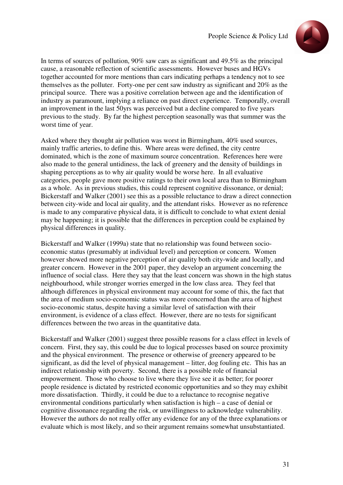

In terms of sources of pollution, 90% saw cars as significant and 49.5% as the principal cause, a reasonable reflection of scientific assessments. However buses and HGVs together accounted for more mentions than cars indicating perhaps a tendency not to see themselves as the polluter. Forty-one per cent saw industry as significant and 20% as the principal source. There was a positive correlation between age and the identification of industry as paramount, implying a reliance on past direct experience. Temporally, overall an improvement in the last 50yrs was perceived but a decline compared to five years previous to the study. By far the highest perception seasonally was that summer was the worst time of year.

Asked where they thought air pollution was worst in Birmingham, 40% used sources, mainly traffic arteries, to define this. Where areas were defined, the city centre dominated, which is the zone of maximum source concentration. References here were also made to the general untidiness, the lack of greenery and the density of buildings in shaping perceptions as to why air quality would be worse here. In all evaluative categories, people gave more positive ratings to their own local area than to Birmingham as a whole. As in previous studies, this could represent cognitive dissonance, or denial; Bickerstaff and Walker (2001) see this as a possible reluctance to draw a direct connection between city-wide and local air quality, and the attendant risks. However as no reference is made to any comparative physical data, it is difficult to conclude to what extent denial may be happening; it is possible that the differences in perception could be explained by physical differences in quality.

Bickerstaff and Walker (1999a) state that no relationship was found between socioeconomic status (presumably at individual level) and perception or concern. Women however showed more negative perception of air quality both city-wide and locally, and greater concern. However in the 2001 paper, they develop an argument concerning the influence of social class. Here they say that the least concern was shown in the high status neighbourhood, while stronger worries emerged in the low class area. They feel that although differences in physical environment may account for some of this, the fact that the area of medium socio-economic status was more concerned than the area of highest socio-economic status, despite having a similar level of satisfaction with their environment, is evidence of a class effect. However, there are no tests for significant differences between the two areas in the quantitative data.

Bickerstaff and Walker (2001) suggest three possible reasons for a class effect in levels of concern. First, they say, this could be due to logical processes based on source proximity and the physical environment. The presence or otherwise of greenery appeared to be significant, as did the level of physical management – litter, dog fouling etc. This has an indirect relationship with poverty. Second, there is a possible role of financial empowerment. Those who choose to live where they live see it as better; for poorer people residence is dictated by restricted economic opportunities and so they may exhibit more dissatisfaction. Thirdly, it could be due to a reluctance to recognise negative environmental conditions particularly when satisfaction is high – a case of denial or cognitive dissonance regarding the risk, or unwillingness to acknowledge vulnerability. However the authors do not really offer any evidence for any of the three explanations or evaluate which is most likely, and so their argument remains somewhat unsubstantiated.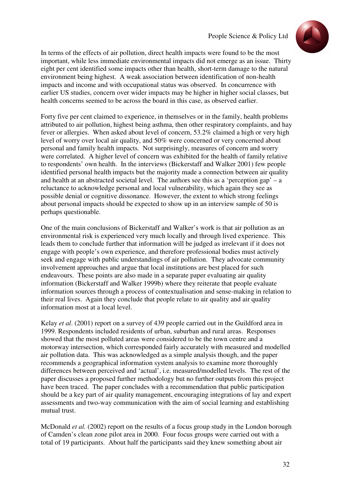

In terms of the effects of air pollution, direct health impacts were found to be the most important, while less immediate environmental impacts did not emerge as an issue. Thirty eight per cent identified some impacts other than health, short-term damage to the natural environment being highest. A weak association between identification of non-health impacts and income and with occupational status was observed. In concurrence with earlier US studies, concern over wider impacts may be higher in higher social classes, but health concerns seemed to be across the board in this case, as observed earlier.

Forty five per cent claimed to experience, in themselves or in the family, health problems attributed to air pollution, highest being asthma, then other respiratory complaints, and hay fever or allergies. When asked about level of concern, 53.2% claimed a high or very high level of worry over local air quality, and 50% were concerned or very concerned about personal and family health impacts. Not surprisingly, measures of concern and worry were correlated. A higher level of concern was exhibited for the health of family relative to respondents' own health. In the interviews (Bickerstaff and Walker 2001) few people identified personal health impacts but the majority made a connection between air quality and health at an abstracted societal level. The authors see this as a 'perception gap'  $-$  a reluctance to acknowledge personal and local vulnerability, which again they see as possible denial or cognitive dissonance. However, the extent to which strong feelings about personal impacts should be expected to show up in an interview sample of 50 is perhaps questionable.

One of the main conclusions of Bickerstaff and Walker's work is that air pollution as an environmental risk is experienced very much locally and through lived experience. This leads them to conclude further that information will be judged as irrelevant if it does not engage with people's own experience, and therefore professional bodies must actively seek and engage with public understandings of air pollution. They advocate community involvement approaches and argue that local institutions are best placed for such endeavours. These points are also made in a separate paper evaluating air quality information (Bickerstaff and Walker 1999b) where they reiterate that people evaluate information sources through a process of contextualisation and sense-making in relation to their real lives. Again they conclude that people relate to air quality and air quality information most at a local level.

Kelay *et al*. (2001) report on a survey of 439 people carried out in the Guildford area in 1999. Respondents included residents of urban, suburban and rural areas. Responses showed that the most polluted areas were considered to be the town centre and a motorway intersection, which corresponded fairly accurately with measured and modelled air pollution data. This was acknowledged as a simple analysis though, and the paper recommends a geographical information system analysis to examine more thoroughly differences between perceived and 'actual', i.e. measured/modelled levels. The rest of the paper discusses a proposed further methodology but no further outputs from this project have been traced. The paper concludes with a recommendation that public participation should be a key part of air quality management, encouraging integrations of lay and expert assessments and two-way communication with the aim of social learning and establishing mutual trust.

McDonald *et al.* (2002) report on the results of a focus group study in the London borough of Camden's clean zone pilot area in 2000. Four focus groups were carried out with a total of 19 participants. About half the participants said they knew something about air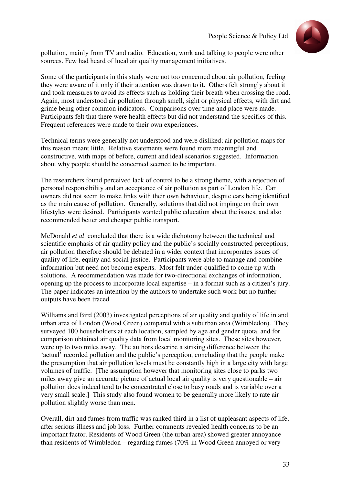

pollution, mainly from TV and radio. Education, work and talking to people were other sources. Few had heard of local air quality management initiatives.

Some of the participants in this study were not too concerned about air pollution, feeling they were aware of it only if their attention was drawn to it. Others felt strongly about it and took measures to avoid its effects such as holding their breath when crossing the road. Again, most understood air pollution through smell, sight or physical effects, with dirt and grime being other common indicators. Comparisons over time and place were made. Participants felt that there were health effects but did not understand the specifics of this. Frequent references were made to their own experiences.

Technical terms were generally not understood and were disliked; air pollution maps for this reason meant little. Relative statements were found more meaningful and constructive, with maps of before, current and ideal scenarios suggested. Information about why people should be concerned seemed to be important.

The researchers found perceived lack of control to be a strong theme, with a rejection of personal responsibility and an acceptance of air pollution as part of London life. Car owners did not seem to make links with their own behaviour, despite cars being identified as the main cause of pollution. Generally, solutions that did not impinge on their own lifestyles were desired. Participants wanted public education about the issues, and also recommended better and cheaper public transport.

McDonald *et al*. concluded that there is a wide dichotomy between the technical and scientific emphasis of air quality policy and the public's socially constructed perceptions; air pollution therefore should be debated in a wider context that incorporates issues of quality of life, equity and social justice. Participants were able to manage and combine information but need not become experts. Most felt under-qualified to come up with solutions. A recommendation was made for two-directional exchanges of information, opening up the process to incorporate local expertise – in a format such as a citizen's jury. The paper indicates an intention by the authors to undertake such work but no further outputs have been traced.

Williams and Bird (2003) investigated perceptions of air quality and quality of life in and urban area of London (Wood Green) compared with a suburban area (Wimbledon). They surveyed 100 householders at each location, sampled by age and gender quota, and for comparison obtained air quality data from local monitoring sites. These sites however, were up to two miles away. The authors describe a striking difference between the 'actual' recorded pollution and the public's perception, concluding that the people make the presumption that air pollution levels must be constantly high in a large city with large volumes of traffic. [The assumption however that monitoring sites close to parks two miles away give an accurate picture of actual local air quality is very questionable – air pollution does indeed tend to be concentrated close to busy roads and is variable over a very small scale.] This study also found women to be generally more likely to rate air pollution slightly worse than men.

Overall, dirt and fumes from traffic was ranked third in a list of unpleasant aspects of life, after serious illness and job loss. Further comments revealed health concerns to be an important factor. Residents of Wood Green (the urban area) showed greater annoyance than residents of Wimbledon – regarding fumes (70% in Wood Green annoyed or very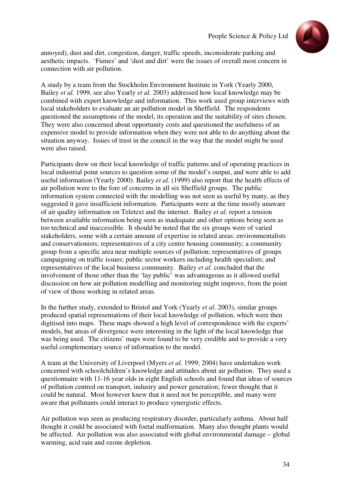

annoyed), dust and dirt, congestion, danger, traffic speeds, inconsiderate parking and aesthetic impacts. 'Fumes' and 'dust and dirt' were the issues of overall most concern in connection with air pollution.

A study by a team from the Stockholm Environment Institute in York (Yearly 2000, Bailey *et al.* 1999, see also Yearly *et al.* 2003) addressed how local knowledge may be combined with expert knowledge and information. This work used group interviews with local stakeholders to evaluate an air pollution model in Sheffield. The respondents questioned the assumptions of the model, its operation and the suitability of sites chosen. They were also concerned about opportunity costs and questioned the usefulness of an expensive model to provide information when they were not able to do anything about the situation anyway. Issues of trust in the council in the way that the model might be used were also raised.

Participants drew on their local knowledge of traffic patterns and of operating practices in local industrial point sources to question some of the model's output, and were able to add useful information (Yearly 2000). Bailey *et al.* (1999) also report that the health effects of air pollution were to the fore of concerns in all six Sheffield groups. The public information system connected with the modelling was not seen as useful by many, as they suggested it gave insufficient information. Participants were at the time mostly unaware of air quality information on Teletext and the internet. Bailey *et al.* report a tension between available information being seen as inadequate and other options being seen as too technical and inaccessible. It should be noted that the six groups were of varied stakeholders, some with a certain amount of expertise in related areas: environmentalists and conservationists; representatives of a city centre housing community; a community group from a specific area near multiple sources of pollution; representatives of groups campaigning on traffic issues; public sector workers including health specialists; and representatives of the local business community. Bailey *et al.* concluded that the involvement of those other than the 'lay public' was advantageous as it allowed useful discussion on how air pollution modelling and monitoring might improve, from the point of view of those working in related areas.

In the further study, extended to Bristol and York (Yearly *et al*. 2003), similar groups produced spatial representations of their local knowledge of pollution, which were then digitised into maps. These maps showed a high level of correspondence with the experts' models, but areas of divergence were interesting in the light of the local knowledge that was being used. The citizens' maps were found to be very credible and to provide a very useful complementary source of information to the model.

A team at the University of Liverpool (Myers *et al*. 1999; 2004) have undertaken work concerned with schoolchildren's knowledge and attitudes about air pollution. They used a questionnaire with 11-16 year olds in eight English schools and found that ideas of sources of pollution centred on transport, industry and power generation; fewer thought that it could be natural. Most however knew that it need not be perceptible, and many were aware that pollutants could interact to produce synergistic effects.

Air pollution was seen as producing respiratory disorder, particularly asthma. About half thought it could be associated with foetal malformation. Many also thought plants would be affected. Air pollution was also associated with global environmental damage – global warming, acid rain and ozone depletion.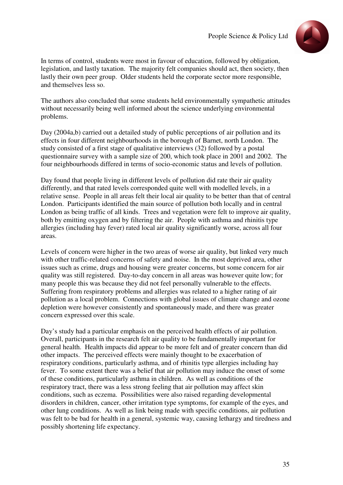

In terms of control, students were most in favour of education, followed by obligation, legislation, and lastly taxation. The majority felt companies should act, then society, then lastly their own peer group. Older students held the corporate sector more responsible, and themselves less so.

The authors also concluded that some students held environmentally sympathetic attitudes without necessarily being well informed about the science underlying environmental problems.

Day (2004a,b) carried out a detailed study of public perceptions of air pollution and its effects in four different neighbourhoods in the borough of Barnet, north London. The study consisted of a first stage of qualitative interviews (32) followed by a postal questionnaire survey with a sample size of 200, which took place in 2001 and 2002. The four neighbourhoods differed in terms of socio-economic status and levels of pollution.

Day found that people living in different levels of pollution did rate their air quality differently, and that rated levels corresponded quite well with modelled levels, in a relative sense. People in all areas felt their local air quality to be better than that of central London. Participants identified the main source of pollution both locally and in central London as being traffic of all kinds. Trees and vegetation were felt to improve air quality, both by emitting oxygen and by filtering the air. People with asthma and rhinitis type allergies (including hay fever) rated local air quality significantly worse, across all four areas.

Levels of concern were higher in the two areas of worse air quality, but linked very much with other traffic-related concerns of safety and noise. In the most deprived area, other issues such as crime, drugs and housing were greater concerns, but some concern for air quality was still registered. Day-to-day concern in all areas was however quite low; for many people this was because they did not feel personally vulnerable to the effects. Suffering from respiratory problems and allergies was related to a higher rating of air pollution as a local problem. Connections with global issues of climate change and ozone depletion were however consistently and spontaneously made, and there was greater concern expressed over this scale.

Day's study had a particular emphasis on the perceived health effects of air pollution. Overall, participants in the research felt air quality to be fundamentally important for general health. Health impacts did appear to be more felt and of greater concern than did other impacts. The perceived effects were mainly thought to be exacerbation of respiratory conditions, particularly asthma, and of rhinitis type allergies including hay fever. To some extent there was a belief that air pollution may induce the onset of some of these conditions, particularly asthma in children. As well as conditions of the respiratory tract, there was a less strong feeling that air pollution may affect skin conditions, such as eczema. Possibilities were also raised regarding developmental disorders in children, cancer, other irritation type symptoms, for example of the eyes, and other lung conditions. As well as link being made with specific conditions, air pollution was felt to be bad for health in a general, systemic way, causing lethargy and tiredness and possibly shortening life expectancy.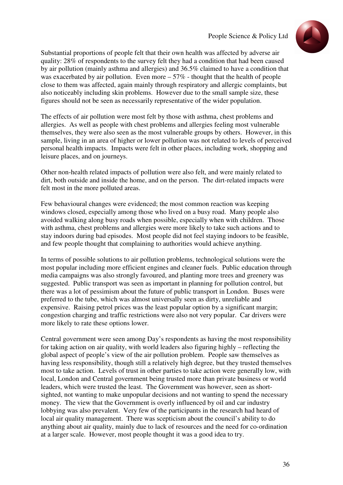

Substantial proportions of people felt that their own health was affected by adverse air quality: 28% of respondents to the survey felt they had a condition that had been caused by air pollution (mainly asthma and allergies) and 36.5% claimed to have a condition that was exacerbated by air pollution. Even more – 57% - thought that the health of people close to them was affected, again mainly through respiratory and allergic complaints, but also noticeably including skin problems. However due to the small sample size, these figures should not be seen as necessarily representative of the wider population.

The effects of air pollution were most felt by those with asthma, chest problems and allergies. As well as people with chest problems and allergies feeling most vulnerable themselves, they were also seen as the most vulnerable groups by others. However, in this sample, living in an area of higher or lower pollution was not related to levels of perceived personal health impacts. Impacts were felt in other places, including work, shopping and leisure places, and on journeys.

Other non-health related impacts of pollution were also felt, and were mainly related to dirt, both outside and inside the home, and on the person. The dirt-related impacts were felt most in the more polluted areas.

Few behavioural changes were evidenced; the most common reaction was keeping windows closed, especially among those who lived on a busy road. Many people also avoided walking along busy roads when possible, especially when with children. Those with asthma, chest problems and allergies were more likely to take such actions and to stay indoors during bad episodes. Most people did not feel staying indoors to be feasible, and few people thought that complaining to authorities would achieve anything.

In terms of possible solutions to air pollution problems, technological solutions were the most popular including more efficient engines and cleaner fuels. Public education through media campaigns was also strongly favoured, and planting more trees and greenery was suggested. Public transport was seen as important in planning for pollution control, but there was a lot of pessimism about the future of public transport in London. Buses were preferred to the tube, which was almost universally seen as dirty, unreliable and expensive. Raising petrol prices was the least popular option by a significant margin; congestion charging and traffic restrictions were also not very popular. Car drivers were more likely to rate these options lower.

Central government were seen among Day's respondents as having the most responsibility for taking action on air quality, with world leaders also figuring highly – reflecting the global aspect of people's view of the air pollution problem. People saw themselves as having less responsibility, though still a relatively high degree, but they trusted themselves most to take action. Levels of trust in other parties to take action were generally low, with local, London and Central government being trusted more than private business or world leaders, which were trusted the least. The Government was however, seen as shortsighted, not wanting to make unpopular decisions and not wanting to spend the necessary money. The view that the Government is overly influenced by oil and car industry lobbying was also prevalent. Very few of the participants in the research had heard of local air quality management. There was scepticism about the council's ability to do anything about air quality, mainly due to lack of resources and the need for co-ordination at a larger scale. However, most people thought it was a good idea to try.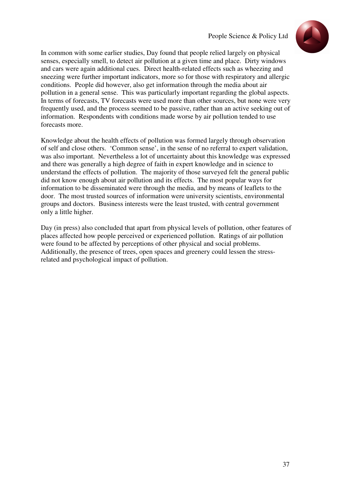

In common with some earlier studies, Day found that people relied largely on physical senses, especially smell, to detect air pollution at a given time and place. Dirty windows and cars were again additional cues. Direct health-related effects such as wheezing and sneezing were further important indicators, more so for those with respiratory and allergic conditions. People did however, also get information through the media about air pollution in a general sense. This was particularly important regarding the global aspects. In terms of forecasts, TV forecasts were used more than other sources, but none were very frequently used, and the process seemed to be passive, rather than an active seeking out of information. Respondents with conditions made worse by air pollution tended to use forecasts more.

Knowledge about the health effects of pollution was formed largely through observation of self and close others. 'Common sense', in the sense of no referral to expert validation, was also important. Nevertheless a lot of uncertainty about this knowledge was expressed and there was generally a high degree of faith in expert knowledge and in science to understand the effects of pollution. The majority of those surveyed felt the general public did not know enough about air pollution and its effects. The most popular ways for information to be disseminated were through the media, and by means of leaflets to the door. The most trusted sources of information were university scientists, environmental groups and doctors. Business interests were the least trusted, with central government only a little higher.

Day (in press) also concluded that apart from physical levels of pollution, other features of places affected how people perceived or experienced pollution. Ratings of air pollution were found to be affected by perceptions of other physical and social problems. Additionally, the presence of trees, open spaces and greenery could lessen the stressrelated and psychological impact of pollution.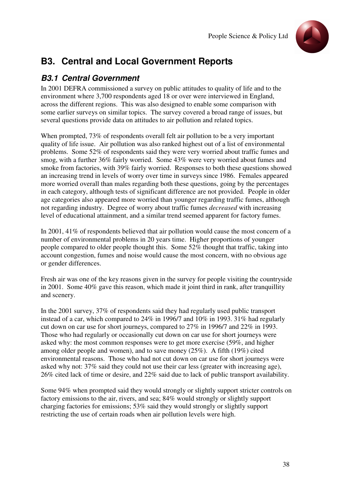

# **B3. Central and Local Government Reports**

## **B3.1 Central Government**

In 2001 DEFRA commissioned a survey on public attitudes to quality of life and to the environment where 3,700 respondents aged 18 or over were interviewed in England, across the different regions. This was also designed to enable some comparison with some earlier surveys on similar topics. The survey covered a broad range of issues, but several questions provide data on attitudes to air pollution and related topics.

When prompted, 73% of respondents overall felt air pollution to be a very important quality of life issue. Air pollution was also ranked highest out of a list of environmental problems. Some 52% of respondents said they were very worried about traffic fumes and smog, with a further 36% fairly worried. Some 43% were very worried about fumes and smoke from factories, with 39% fairly worried. Responses to both these questions showed an increasing trend in levels of worry over time in surveys since 1986. Females appeared more worried overall than males regarding both these questions, going by the percentages in each category, although tests of significant difference are not provided. People in older age categories also appeared more worried than younger regarding traffic fumes, although not regarding industry. Degree of worry about traffic fumes *decreased* with increasing level of educational attainment, and a similar trend seemed apparent for factory fumes.

In 2001, 41% of respondents believed that air pollution would cause the most concern of a number of environmental problems in 20 years time. Higher proportions of younger people compared to older people thought this. Some 52% thought that traffic, taking into account congestion, fumes and noise would cause the most concern, with no obvious age or gender differences.

Fresh air was one of the key reasons given in the survey for people visiting the countryside in 2001. Some 40% gave this reason, which made it joint third in rank, after tranquillity and scenery.

In the 2001 survey, 37% of respondents said they had regularly used public transport instead of a car, which compared to 24% in 1996/7 and 10% in 1993. 31% had regularly cut down on car use for short journeys, compared to 27% in 1996/7 and 22% in 1993. Those who had regularly or occasionally cut down on car use for short journeys were asked why: the most common responses were to get more exercise (59%, and higher among older people and women), and to save money (25%). A fifth (19%) cited environmental reasons. Those who had not cut down on car use for short journeys were asked why not: 37% said they could not use their car less (greater with increasing age), 26% cited lack of time or desire, and 22% said due to lack of public transport availability.

Some 94% when prompted said they would strongly or slightly support stricter controls on factory emissions to the air, rivers, and sea; 84% would strongly or slightly support charging factories for emissions; 53% said they would strongly or slightly support restricting the use of certain roads when air pollution levels were high.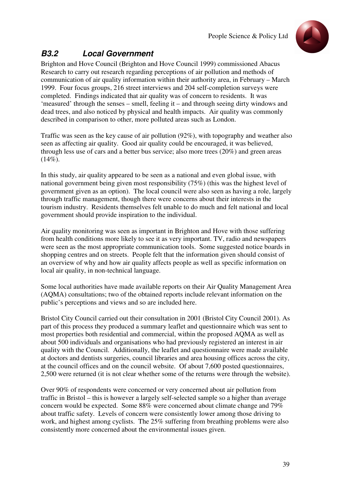

## **B3.2 Local Government**

Brighton and Hove Council (Brighton and Hove Council 1999) commissioned Abacus Research to carry out research regarding perceptions of air pollution and methods of communication of air quality information within their authority area, in February – March 1999. Four focus groups, 216 street interviews and 204 self-completion surveys were completed. Findings indicated that air quality was of concern to residents. It was 'measured' through the senses – smell, feeling it – and through seeing dirty windows and dead trees, and also noticed by physical and health impacts. Air quality was commonly described in comparison to other, more polluted areas such as London.

Traffic was seen as the key cause of air pollution (92%), with topography and weather also seen as affecting air quality. Good air quality could be encouraged, it was believed, through less use of cars and a better bus service; also more trees (20%) and green areas  $(14\%)$ .

In this study, air quality appeared to be seen as a national and even global issue, with national government being given most responsibility (75%) (this was the highest level of government given as an option). The local council were also seen as having a role, largely through traffic management, though there were concerns about their interests in the tourism industry. Residents themselves felt unable to do much and felt national and local government should provide inspiration to the individual.

Air quality monitoring was seen as important in Brighton and Hove with those suffering from health conditions more likely to see it as very important. TV, radio and newspapers were seen as the most appropriate communication tools. Some suggested notice boards in shopping centres and on streets. People felt that the information given should consist of an overview of why and how air quality affects people as well as specific information on local air quality, in non-technical language.

Some local authorities have made available reports on their Air Quality Management Area (AQMA) consultations; two of the obtained reports include relevant information on the public's perceptions and views and so are included here.

Bristol City Council carried out their consultation in 2001 (Bristol City Council 2001). As part of this process they produced a summary leaflet and questionnaire which was sent to most properties both residential and commercial, within the proposed AQMA as well as about 500 individuals and organisations who had previously registered an interest in air quality with the Council. Additionally, the leaflet and questionnaire were made available at doctors and dentists surgeries, council libraries and area housing offices across the city, at the council offices and on the council website. Of about 7,600 posted questionnaires, 2,500 were returned (it is not clear whether some of the returns were through the website).

Over 90% of respondents were concerned or very concerned about air pollution from traffic in Bristol – this is however a largely self-selected sample so a higher than average concern would be expected. Some 88% were concerned about climate change and 79% about traffic safety. Levels of concern were consistently lower among those driving to work, and highest among cyclists. The 25% suffering from breathing problems were also consistently more concerned about the environmental issues given.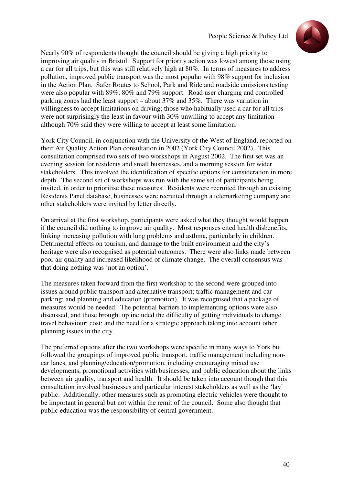

Nearly 90% of respondents thought the council should be giving a high priority to improving air quality in Bristol. Support for priority action was lowest among those using a car for all trips, but this was still relatively high at 80%. In terms of measures to address pollution, improved public transport was the most popular with 98% support for inclusion in the Action Plan. Safer Routes to School, Park and Ride and roadside emissions testing were also popular with 89%, 80% and 79% support. Road user charging and controlled parking zones had the least support – about 37% and 35%. There was variation in willingness to accept limitations on driving; those who habitually used a car for all trips were not surprisingly the least in favour with 30% unwilling to accept any limitation although 70% said they were willing to accept at least some limitation.

York City Council, in conjunction with the University of the West of England, reported on their Air Quality Action Plan consultation in 2002 (York City Council 2002). This consultation comprised two sets of two workshops in August 2002. The first set was an evening session for residents and small businesses, and a morning session for wider stakeholders. This involved the identification of specific options for consideration in more depth. The second set of workshops was run with the same set of participants being invited, in order to prioritise these measures. Residents were recruited through an existing Residents Panel database, businesses were recruited through a telemarketing company and other stakeholders were invited by letter directly.

On arrival at the first workshop, participants were asked what they thought would happen if the council did nothing to improve air quality. Most responses cited health disbenefits, linking increasing pollution with lung problems and asthma, particularly in children. Detrimental effects on tourism, and damage to the built environment and the city's heritage were also recognised as potential outcomes. There were also links made between poor air quality and increased likelihood of climate change. The overall consensus was that doing nothing was 'not an option'.

The measures taken forward from the first workshop to the second were grouped into issues around public transport and alternative transport; traffic management and car parking; and planning and education (promotion). It was recognised that a package of measures would be needed. The potential barriers to implementing options were also discussed, and those brought up included the difficulty of getting individuals to change travel behaviour; cost; and the need for a strategic approach taking into account other planning issues in the city.

The preferred options after the two workshops were specific in many ways to York but followed the groupings of improved public transport, traffic management including noncar lanes, and planning/education/promotion, including encouraging mixed use developments, promotional activities with businesses, and public education about the links between air quality, transport and health. It should be taken into account though that this consultation involved businesses and particular interest stakeholders as well as the 'lay' public. Additionally, other measures such as promoting electric vehicles were thought to be important in general but not within the remit of the council. Some also thought that public education was the responsibility of central government.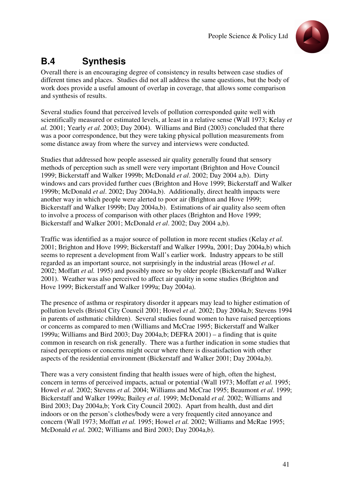

# **B.4 Synthesis**

Overall there is an encouraging degree of consistency in results between case studies of different times and places. Studies did not all address the same questions, but the body of work does provide a useful amount of overlap in coverage, that allows some comparison and synthesis of results.

Several studies found that perceived levels of pollution corresponded quite well with scientifically measured or estimated levels, at least in a relative sense (Wall 1973; Kelay *et al.* 2001; Yearly *et al.* 2003; Day 2004). Williams and Bird (2003) concluded that there was a poor correspondence, but they were taking physical pollution measurements from some distance away from where the survey and interviews were conducted.

Studies that addressed how people assessed air quality generally found that sensory methods of perception such as smell were very important (Brighton and Hove Council 1999; Bickerstaff and Walker 1999b; McDonald *et al*. 2002; Day 2004 a,b). Dirty windows and cars provided further cues (Brighton and Hove 1999; Bickerstaff and Walker 1999b; McDonald *et al*. 2002; Day 2004a,b). Additionally, direct health impacts were another way in which people were alerted to poor air (Brighton and Hove 1999; Bickerstaff and Walker 1999b; Day 2004a,b). Estimations of air quality also seem often to involve a process of comparison with other places (Brighton and Hove 1999; Bickerstaff and Walker 2001; McDonald *et al*. 2002; Day 2004 a,b).

Traffic was identified as a major source of pollution in more recent studies (Kelay *et al.* 2001; Brighton and Hove 1999; Bickerstaff and Walker 1999a, 2001; Day 2004a,b) which seems to represent a development from Wall's earlier work. Industry appears to be still regarded as an important source, not surprisingly in the industrial areas (Howel *et al*. 2002; Moffatt *et al.* 1995) and possibly more so by older people (Bickerstaff and Walker 2001). Weather was also perceived to affect air quality in some studies (Brighton and Hove 1999; Bickerstaff and Walker 1999a; Day 2004a).

The presence of asthma or respiratory disorder it appears may lead to higher estimation of pollution levels (Bristol City Council 2001; Howel *et al.* 2002; Day 2004a,b; Stevens 1994 in parents of asthmatic children). Several studies found women to have raised perceptions or concerns as compared to men (Williams and McCrae 1995; Bickerstaff and Walker 1999a; Williams and Bird 2003; Day 2004a,b; DEFRA 2001) – a finding that is quite common in research on risk generally. There was a further indication in some studies that raised perceptions or concerns might occur where there is dissatisfaction with other aspects of the residential environment (Bickerstaff and Walker 2001; Day 2004a,b).

There was a very consistent finding that health issues were of high, often the highest, concern in terms of perceived impacts, actual or potential (Wall 1973; Moffatt *et al.* 1995; Howel *et al.* 2002; Stevens *et al.* 2004; Williams and McCrae 1995; Beaumont *et al*. 1999; Bickerstaff and Walker 1999a; Bailey *et al*. 1999; McDonald *et al.* 2002; Williams and Bird 2003; Day 2004a,b; York City Council 2002). Apart from health, dust and dirt indoors or on the person's clothes/body were a very frequently cited annoyance and concern (Wall 1973; Moffatt *et al.* 1995; Howel *et al.* 2002; Williams and McRae 1995; McDonald *et al.* 2002; Williams and Bird 2003; Day 2004a,b).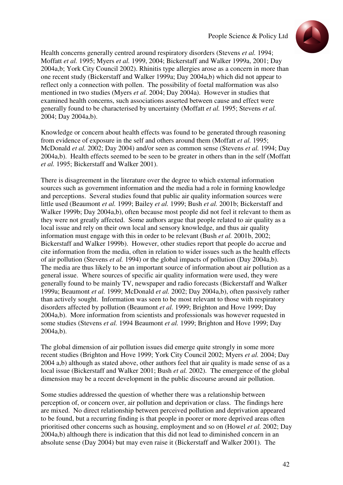

Health concerns generally centred around respiratory disorders (Stevens *et al.* 1994; Moffatt *et al.* 1995; Myers *et al.* 1999, 2004; Bickerstaff and Walker 1999a, 2001; Day 2004a,b; York City Council 2002). Rhinitis type allergies arose as a concern in more than one recent study (Bickerstaff and Walker 1999a; Day 2004a,b) which did not appear to reflect only a connection with pollen. The possibility of foetal malformation was also mentioned in two studies (Myers *et al.* 2004; Day 2004a). However in studies that examined health concerns, such associations asserted between cause and effect were generally found to be characterised by uncertainty (Moffatt *et al.* 1995; Stevens *et al.* 2004; Day 2004a,b).

Knowledge or concern about health effects was found to be generated through reasoning from evidence of exposure in the self and others around them (Moffatt *et al.* 1995; McDonald *et al.* 2002; Day 2004) and/or seen as common sense (Stevens *et al.* 1994; Day 2004a,b). Health effects seemed to be seen to be greater in others than in the self (Moffatt *et al.* 1995; Bickerstaff and Walker 2001).

There is disagreement in the literature over the degree to which external information sources such as government information and the media had a role in forming knowledge and perceptions. Several studies found that public air quality information sources were little used (Beaumont *et al.* 1999; Bailey *et al.* 1999; Bush *et al.* 2001b; Bickerstaff and Walker 1999b; Day 2004a,b), often because most people did not feel it relevant to them as they were not greatly affected. Some authors argue that people related to air quality as a local issue and rely on their own local and sensory knowledge, and thus air quality information must engage with this in order to be relevant (Bush *et al.* 2001b, 2002; Bickerstaff and Walker 1999b). However, other studies report that people do accrue and cite information from the media, often in relation to wider issues such as the health effects of air pollution (Stevens *et al.* 1994) or the global impacts of pollution (Day 2004a,b). The media are thus likely to be an important source of information about air pollution as a general issue. Where sources of specific air quality information were used, they were generally found to be mainly TV, newspaper and radio forecasts (Bickerstaff and Walker 1999a; Beaumont *et al.* 1999; McDonald *et al.* 2002; Day 2004a,b), often passively rather than actively sought. Information was seen to be most relevant to those with respiratory disorders affected by pollution (Beaumont *et al.* 1999; Brighton and Hove 1999; Day 2004a,b). More information from scientists and professionals was however requested in some studies (Stevens *et al.* 1994 Beaumont *et al.* 1999; Brighton and Hove 1999; Day 2004a,b).

The global dimension of air pollution issues did emerge quite strongly in some more recent studies (Brighton and Hove 1999; York City Council 2002; Myers *et al.* 2004; Day 2004 a,b) although as stated above, other authors feel that air quality is made sense of as a local issue (Bickerstaff and Walker 2001; Bush *et al.* 2002). The emergence of the global dimension may be a recent development in the public discourse around air pollution.

Some studies addressed the question of whether there was a relationship between perception of, or concern over, air pollution and deprivation or class. The findings here are mixed. No direct relationship between perceived pollution and deprivation appeared to be found, but a recurring finding is that people in poorer or more deprived areas often prioritised other concerns such as housing, employment and so on (Howel *et al.* 2002; Day 2004a,b) although there is indication that this did not lead to diminished concern in an absolute sense (Day 2004) but may even raise it (Bickerstaff and Walker 2001). The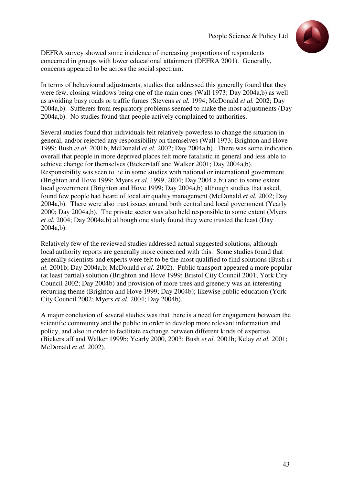

DEFRA survey showed some incidence of increasing proportions of respondents concerned in groups with lower educational attainment (DEFRA 2001). Generally, concerns appeared to be across the social spectrum.

In terms of behavioural adjustments, studies that addressed this generally found that they were few, closing windows being one of the main ones (Wall 1973; Day 2004a,b) as well as avoiding busy roads or traffic fumes (Stevens *et al.* 1994; McDonald *et al.* 2002; Day 2004a,b). Sufferers from respiratory problems seemed to make the most adjustments (Day 2004a,b). No studies found that people actively complained to authorities.

Several studies found that individuals felt relatively powerless to change the situation in general, and/or rejected any responsibility on themselves (Wall 1973; Brighton and Hove 1999; Bush *et al.* 2001b; McDonald *et al.* 2002; Day 2004a,b). There was some indication overall that people in more deprived places felt more fatalistic in general and less able to achieve change for themselves (Bickerstaff and Walker 2001; Day 2004a,b). Responsibility was seen to lie in some studies with national or international government (Brighton and Hove 1999; Myers *et al.* 1999, 2004; Day 2004 a,b;) and to some extent local government (Brighton and Hove 1999; Day 2004a,b) although studies that asked, found few people had heard of local air quality management (McDonald *et al.* 2002; Day 2004a,b). There were also trust issues around both central and local government (Yearly 2000; Day 2004a,b). The private sector was also held responsible to some extent (Myers *et al.* 2004; Day 2004a,b) although one study found they were trusted the least (Day 2004a,b).

Relatively few of the reviewed studies addressed actual suggested solutions, although local authority reports are generally more concerned with this. Some studies found that generally scientists and experts were felt to be the most qualified to find solutions (Bush *et al.* 2001b; Day 2004a,b; McDonald *et al.* 2002). Public transport appeared a more popular (at least partial) solution (Brighton and Hove 1999; Bristol City Council 2001; York City Council 2002; Day 2004b) and provision of more trees and greenery was an interesting recurring theme (Brighton and Hove 1999; Day 2004b); likewise public education (York City Council 2002; Myers *et al.* 2004; Day 2004b).

A major conclusion of several studies was that there is a need for engagement between the scientific community and the public in order to develop more relevant information and policy, and also in order to facilitate exchange between different kinds of expertise (Bickerstaff and Walker 1999b; Yearly 2000, 2003; Bush *et al.* 2001b; Kelay *et al.* 2001; McDonald *et al.* 2002).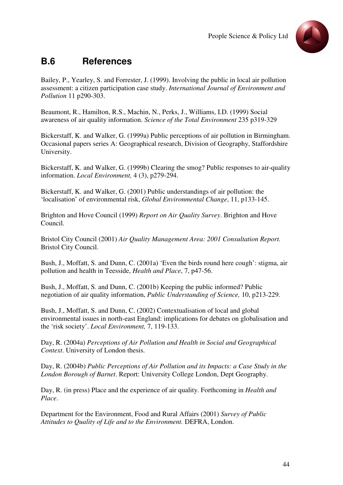

# **B.6 References**

Bailey, P., Yearley, S. and Forrester, J. (1999). Involving the public in local air pollution assessment: a citizen participation case study. *International Journal of Environment and Pollution* 11 p290-303.

Beaumont, R., Hamilton, R.S., Machin, N., Perks, J., Williams, I.D. (1999) Social awareness of air quality information. *Science of the Total Environment* 235 p319-329

Bickerstaff, K. and Walker, G. (1999a) Public perceptions of air pollution in Birmingham. Occasional papers series A: Geographical research, Division of Geography, Staffordshire University.

Bickerstaff, K. and Walker, G. (1999b) Clearing the smog? Public responses to air-quality information. *Local Environment,* 4 (3), p279-294.

Bickerstaff, K. and Walker, G. (2001) Public understandings of air pollution: the 'localisation' of environmental risk, *Global Environmental Change*, 11, p133-145.

Brighton and Hove Council (1999) *Report on Air Quality Survey*. Brighton and Hove Council.

Bristol City Council (2001) *Air Quality Management Area: 2001 Consultation Report.*  Bristol City Council.

Bush, J., Moffatt, S. and Dunn, C. (2001a) 'Even the birds round here cough': stigma, air pollution and health in Teesside, *Health and Place*, 7, p47-56.

Bush, J., Moffatt, S. and Dunn, C. (2001b) Keeping the public informed? Public negotiation of air quality information, *Public Understanding of Science,* 10, p213-229.

Bush, J., Moffatt, S. and Dunn, C. (2002) Contextualisation of local and global environmental issues in north-east England: implications for debates on globalisation and the 'risk society'. *Local Environment,* 7, 119-133.

Day, R. (2004a) *Perceptions of Air Pollution and Health in Social and Geographical Context*. University of London thesis.

Day, R. (2004b) *Public Perceptions of Air Pollution and its Impacts: a Case Study in the London Borough of Barnet*. Report: University College London, Dept Geography.

Day, R. (in press) Place and the experience of air quality. Forthcoming in *Health and Place*.

Department for the Environment, Food and Rural Affairs (2001) *Survey of Public Attitudes to Quality of Life and to the Environment.* DEFRA, London.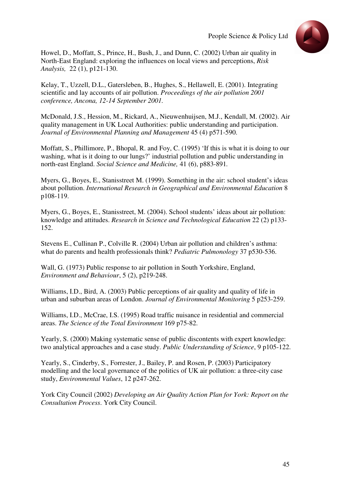

Howel, D., Moffatt, S., Prince, H., Bush, J., and Dunn, C. (2002) Urban air quality in North-East England: exploring the influences on local views and perceptions, *Risk Analysis,* 22 (1), p121-130.

Kelay, T., Uzzell, D.L., Gatersleben, B., Hughes, S., Hellawell, E. (2001). Integrating scientific and lay accounts of air pollution. *Proceedings of the air pollution 2001 conference, Ancona, 12-14 September 2001.* 

McDonald, J.S., Hession, M., Rickard, A., Nieuwenhuijsen, M.J., Kendall, M. (2002). Air quality management in UK Local Authorities: public understanding and participation. *Journal of Environmental Planning and Management* 45 (4) p571-590.

Moffatt, S., Phillimore, P., Bhopal, R. and Foy, C. (1995) 'If this is what it is doing to our washing, what is it doing to our lungs?' industrial pollution and public understanding in north-east England. *Social Science and Medicine,* 41 (6), p883-891*.* 

Myers, G., Boyes, E., Stanisstreet M. (1999). Something in the air: school student's ideas about pollution. *International Research in Geographical and Environmental Education* 8 p108-119.

Myers, G., Boyes, E., Stanisstreet, M. (2004). School students' ideas about air pollution: knowledge and attitudes. *Research in Science and Technological Education* 22 (2) p133- 152.

Stevens E., Cullinan P., Colville R. (2004) Urban air pollution and children's asthma: what do parents and health professionals think? *Pediatric Pulmonology* 37 p530-536.

Wall, G. (1973) Public response to air pollution in South Yorkshire, England, *Environment and Behaviour*, 5 (2), p219-248.

Williams, I.D., Bird, A. (2003) Public perceptions of air quality and quality of life in urban and suburban areas of London. *Journal of Environmental Monitoring* 5 p253-259.

Williams, I.D., McCrae, I.S. (1995) Road traffic nuisance in residential and commercial areas. *The Science of the Total Environment* 169 p75-82.

Yearly, S. (2000) Making systematic sense of public discontents with expert knowledge: two analytical approaches and a case study. *Public Understanding of Science*, 9 p105-122.

Yearly, S., Cinderby, S., Forrester, J., Bailey, P. and Rosen, P. (2003) Participatory modelling and the local governance of the politics of UK air pollution: a three-city case study, *Environmental Values*, 12 p247-262.

York City Council (2002) *Developing an Air Quality Action Plan for York: Report on the Consultation Process*. York City Council.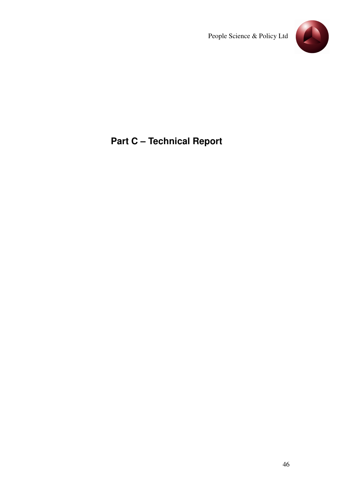

# **Part C – Technical Report**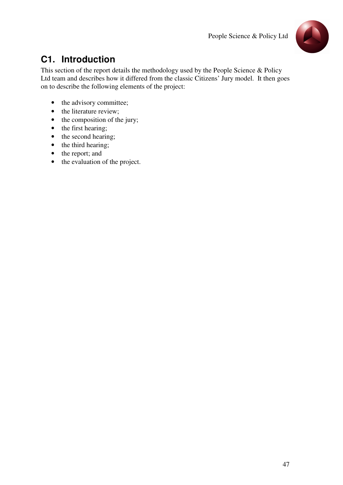

# **C1. Introduction**

This section of the report details the methodology used by the People Science & Policy Ltd team and describes how it differed from the classic Citizens' Jury model. It then goes on to describe the following elements of the project:

- the advisory committee;
- the literature review;
- the composition of the jury;
- the first hearing;
- the second hearing;
- the third hearing;
- the report; and
- the evaluation of the project.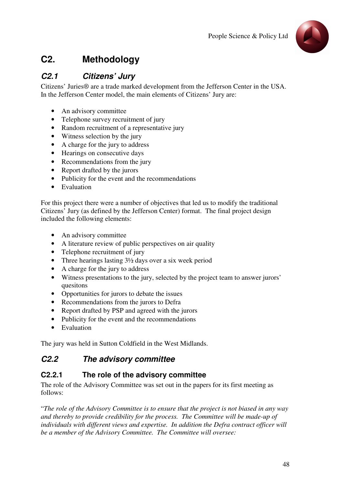

# **C2. Methodology**

## **C2.1 Citizens' Jury**

Citizens' Juries® are a trade marked development from the Jefferson Center in the USA. In the Jefferson Center model, the main elements of Citizens' Jury are:

- An advisory committee
- Telephone survey recruitment of jury
- Random recruitment of a representative jury
- Witness selection by the jury
- A charge for the jury to address
- Hearings on consecutive days
- Recommendations from the jury
- Report drafted by the jurors
- Publicity for the event and the recommendations
- Evaluation

For this project there were a number of objectives that led us to modify the traditional Citizens' Jury (as defined by the Jefferson Center) format. The final project design included the following elements:

- An advisory committee
- A literature review of public perspectives on air quality
- Telephone recruitment of jury
- Three hearings lasting  $3\frac{1}{2}$  days over a six week period
- A charge for the jury to address
- Witness presentations to the jury, selected by the project team to answer jurors' quesitons
- Opportunities for jurors to debate the issues
- Recommendations from the jurors to Defra
- Report drafted by PSP and agreed with the jurors
- Publicity for the event and the recommendations
- Evaluation

The jury was held in Sutton Coldfield in the West Midlands.

## **C2.2 The advisory committee**

### **C2.2.1 The role of the advisory committee**

The role of the Advisory Committee was set out in the papers for its first meeting as follows:

"*The role of the Advisory Committee is to ensure that the project is not biased in any way and thereby to provide credibility for the process. The Committee will be made-up of individuals with different views and expertise. In addition the Defra contract officer will be a member of the Advisory Committee. The Committee will oversee:*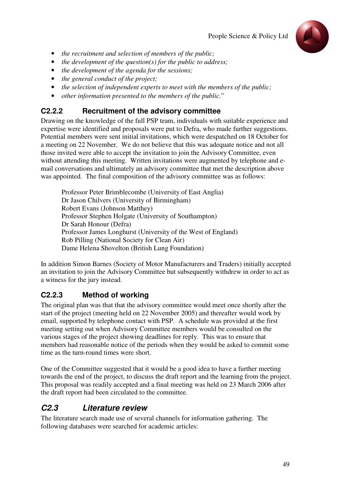

- *the recruitment and selection of members of the public;*
- *the development of the question(s) for the public to address;*
- *the development of the agenda for the sessions;*
- *the general conduct of the project;*
- *the selection of independent experts to meet with the members of the public;*
- *other information presented to the members of the public.*"

### **C2.2.2 Recruitment of the advisory committee**

Drawing on the knowledge of the full PSP team, individuals with suitable experience and expertise were identified and proposals were put to Defra, who made further suggestions. Potential members were sent initial invitations, which were despatched on 18 October for a meeting on 22 November. We do not believe that this was adequate notice and not all those invited were able to accept the invitation to join the Advisory Committee, even without attending this meeting. Written invitations were augmented by telephone and email conversations and ultimately an advisory committee that met the description above was appointed. The final composition of the advisory committee was as follows:

Professor Peter Brimblecombe (University of East Anglia) Dr Jason Chilvers (University of Birmingham) Robert Evans (Johnson Matthey) Professor Stephen Holgate (University of Southampton) Dr Sarah Honour (Defra) Professor James Longhurst (University of the West of England) Rob Pilling (National Society for Clean Air) Dame Helena Shovelton (British Lung Foundation)

In addition Simon Barnes (Society of Motor Manufacturers and Traders) initially accepted an invitation to join the Advisory Committee but subsequently withdrew in order to act as a witness for the jury instead.

### **C2.2.3 Method of working**

The original plan was that that the advisory committee would meet once shortly after the start of the project (meeting held on 22 November 2005) and thereafter would work by email, supported by telephone contact with PSP. A schedule was provided at the first meeting setting out when Advisory Committee members would be consulted on the various stages of the project showing deadlines for reply. This was to ensure that members had reasonable notice of the periods when they would be asked to commit some time as the turn-round times were short.

One of the Committee suggested that it would be a good idea to have a further meeting towards the end of the project, to discuss the draft report and the learning from the project. This proposal was readily accepted and a final meeting was held on 23 March 2006 after the draft report had been circulated to the committee.

### **C2.3 Literature review**

The literature search made use of several channels for information gathering. The following databases were searched for academic articles: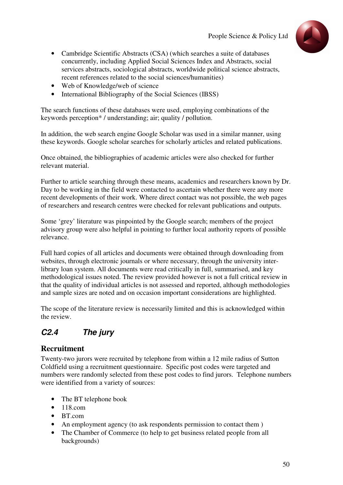

- Cambridge Scientific Abstracts (CSA) (which searches a suite of databases concurrently, including Applied Social Sciences Index and Abstracts, social services abstracts, sociological abstracts, worldwide political science abstracts, recent references related to the social sciences/humanities)
- Web of Knowledge/web of science
- International Bibliography of the Social Sciences (IBSS)

The search functions of these databases were used, employing combinations of the keywords perception\* / understanding; air; quality / pollution.

In addition, the web search engine Google Scholar was used in a similar manner, using these keywords. Google scholar searches for scholarly articles and related publications.

Once obtained, the bibliographies of academic articles were also checked for further relevant material.

Further to article searching through these means, academics and researchers known by Dr. Day to be working in the field were contacted to ascertain whether there were any more recent developments of their work. Where direct contact was not possible, the web pages of researchers and research centres were checked for relevant publications and outputs.

Some 'grey' literature was pinpointed by the Google search; members of the project advisory group were also helpful in pointing to further local authority reports of possible relevance.

Full hard copies of all articles and documents were obtained through downloading from websites, through electronic journals or where necessary, through the university interlibrary loan system. All documents were read critically in full, summarised, and key methodological issues noted. The review provided however is not a full critical review in that the quality of individual articles is not assessed and reported, although methodologies and sample sizes are noted and on occasion important considerations are highlighted.

The scope of the literature review is necessarily limited and this is acknowledged within the review.

## **C2.4 The jury**

### **Recruitment**

Twenty-two jurors were recruited by telephone from within a 12 mile radius of Sutton Coldfield using a recruitment questionnaire. Specific post codes were targeted and numbers were randomly selected from these post codes to find jurors. Telephone numbers were identified from a variety of sources:

- The BT telephone book
- $118.com$
- BT.com
- An employment agency (to ask respondents permission to contact them )
- The Chamber of Commerce (to help to get business related people from all backgrounds)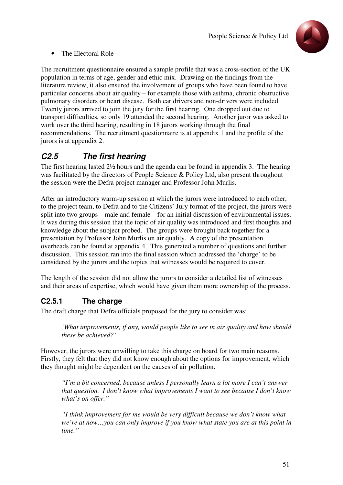

#### • The Electoral Role

The recruitment questionnaire ensured a sample profile that was a cross-section of the UK population in terms of age, gender and ethic mix. Drawing on the findings from the literature review, it also ensured the involvement of groups who have been found to have particular concerns about air quality – for example those with asthma, chronic obstructive pulmonary disorders or heart disease. Both car drivers and non-drivers were included. Twenty jurors arrived to join the jury for the first hearing. One dropped out due to transport difficulties, so only 19 attended the second hearing. Another juror was asked to work over the third hearing, resulting in 18 jurors working through the final recommendations. The recruitment questionnaire is at appendix 1 and the profile of the jurors is at appendix 2.

## **C2.5 The first hearing**

The first hearing lasted 2½ hours and the agenda can be found in appendix 3. The hearing was facilitated by the directors of People Science & Policy Ltd, also present throughout the session were the Defra project manager and Professor John Murlis.

After an introductory warm-up session at which the jurors were introduced to each other, to the project team, to Defra and to the Citizens' Jury format of the project, the jurors were split into two groups – male and female – for an initial discussion of environmental issues. It was during this session that the topic of air quality was introduced and first thoughts and knowledge about the subject probed. The groups were brought back together for a presentation by Professor John Murlis on air quality. A copy of the presentation overheads can be found at appendix 4. This generated a number of questions and further discussion. This session ran into the final session which addressed the 'charge' to be considered by the jurors and the topics that witnesses would be required to cover.

The length of the session did not allow the jurors to consider a detailed list of witnesses and their areas of expertise, which would have given them more ownership of the process.

### **C2.5.1 The charge**

The draft charge that Defra officials proposed for the jury to consider was:

*'What improvements, if any, would people like to see in air quality and how should these be achieved?'* 

However, the jurors were unwilling to take this charge on board for two main reasons. Firstly, they felt that they did not know enough about the options for improvement, which they thought might be dependent on the causes of air pollution.

*"I'm a bit concerned, because unless I personally learn a lot more I can't answer that question. I don't know what improvements I want to see because I don't know what's on offer."*

*"I think improvement for me would be very difficult because we don't know what we're at now…you can only improve if you know what state you are at this point in time."*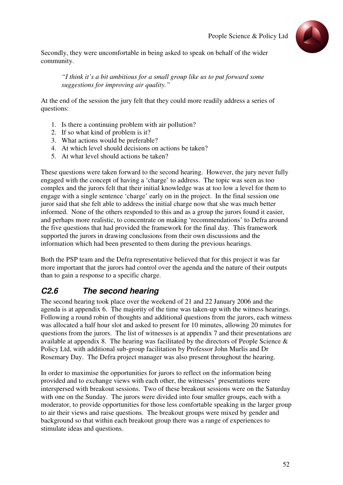

Secondly, they were uncomfortable in being asked to speak on behalf of the wider community.

*"I think it's a bit ambitious for a small group like us to put forward some suggestions for improving air quality."* 

At the end of the session the jury felt that they could more readily address a series of questions:

- 1. Is there a continuing problem with air pollution?
- 2. If so what kind of problem is it?
- 3. What actions would be preferable?
- 4. At which level should decisions on actions be taken?
- 5. At what level should actions be taken?

These questions were taken forward to the second hearing. However, the jury never fully engaged with the concept of having a 'charge' to address. The topic was seen as too complex and the jurors felt that their initial knowledge was at too low a level for them to engage with a single sentence 'charge' early on in the project. In the final session one juror said that she felt able to address the initial charge now that she was much better informed. None of the others responded to this and as a group the jurors found it easier, and perhaps more realistic, to concentrate on making 'recommendations' to Defra around the five questions that had provided the framework for the final day. This framework supported the jurors in drawing conclusions from their own discussions and the information which had been presented to them during the previous hearings.

Both the PSP team and the Defra representative believed that for this project it was far more important that the jurors had control over the agenda and the nature of their outputs than to gain a response to a specific charge.

## **C2.6 The second hearing**

The second hearing took place over the weekend of 21 and 22 January 2006 and the agenda is at appendix 6. The majority of the time was taken-up with the witness hearings. Following a round robin of thoughts and additional questions from the jurors, each witness was allocated a half hour slot and asked to present for 10 minutes, allowing 20 minutes for questions from the jurors. The list of witnesses is at appendix 7 and their presentations are available at appendix 8. The hearing was facilitated by the directors of People Science & Policy Ltd, with additional sub-group facilitation by Professor John Murlis and Dr Rosemary Day. The Defra project manager was also present throughout the hearing.

In order to maximise the opportunities for jurors to reflect on the information being provided and to exchange views with each other, the witnesses' presentations were interspersed with breakout sessions. Two of these breakout sessions were on the Saturday with one on the Sunday. The jurors were divided into four smaller groups, each with a moderator, to provide opportunities for those less comfortable speaking in the larger group to air their views and raise questions. The breakout groups were mixed by gender and background so that within each breakout group there was a range of experiences to stimulate ideas and questions.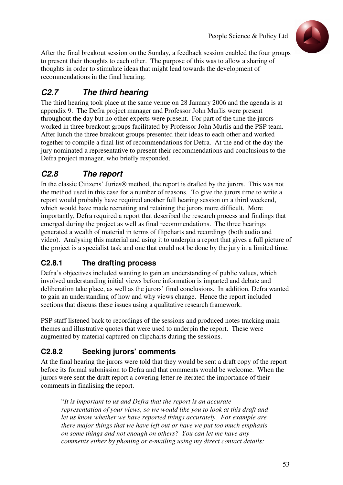

After the final breakout session on the Sunday, a feedback session enabled the four groups to present their thoughts to each other. The purpose of this was to allow a sharing of thoughts in order to stimulate ideas that might lead towards the development of recommendations in the final hearing.

## **C2.7 The third hearing**

The third hearing took place at the same venue on 28 January 2006 and the agenda is at appendix 9. The Defra project manager and Professor John Murlis were present throughout the day but no other experts were present. For part of the time the jurors worked in three breakout groups facilitated by Professor John Murlis and the PSP team. After lunch the three breakout groups presented their ideas to each other and worked together to compile a final list of recommendations for Defra. At the end of the day the jury nominated a representative to present their recommendations and conclusions to the Defra project manager, who briefly responded.

## **C2.8 The report**

In the classic Citizens' Juries® method, the report is drafted by the jurors. This was not the method used in this case for a number of reasons. To give the jurors time to write a report would probably have required another full hearing session on a third weekend, which would have made recruiting and retaining the jurors more difficult. More importantly, Defra required a report that described the research process and findings that emerged during the project as well as final recommendations. The three hearings generated a wealth of material in terms of flipcharts and recordings (both audio and video). Analysing this material and using it to underpin a report that gives a full picture of the project is a specialist task and one that could not be done by the jury in a limited time.

## **C2.8.1 The drafting process**

Defra's objectives included wanting to gain an understanding of public values, which involved understanding initial views before information is imparted and debate and deliberation take place, as well as the jurors' final conclusions. In addition, Defra wanted to gain an understanding of how and why views change. Hence the report included sections that discuss these issues using a qualitative research framework.

PSP staff listened back to recordings of the sessions and produced notes tracking main themes and illustrative quotes that were used to underpin the report. These were augmented by material captured on flipcharts during the sessions.

### **C2.8.2 Seeking jurors' comments**

At the final hearing the jurors were told that they would be sent a draft copy of the report before its formal submission to Defra and that comments would be welcome. When the jurors were sent the draft report a covering letter re-iterated the importance of their comments in finalising the report.

"*It is important to us and Defra that the report is an accurate representation of your views, so we would like you to look at this draft and let us know whether we have reported things accurately. For example are there major things that we have left out or have we put too much emphasis on some things and not enough on others? You can let me have any comments either by phoning or e-mailing using my direct contact details:*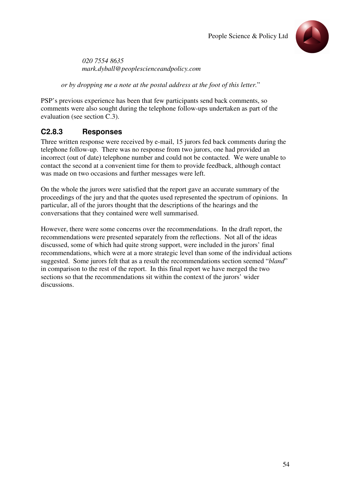

*020 7554 8635 mark.dyball@peoplescienceandpolicy.com* 

*or by dropping me a note at the postal address at the foot of this letter.*"

PSP's previous experience has been that few participants send back comments, so comments were also sought during the telephone follow-ups undertaken as part of the evaluation (see section C.3).

### **C2.8.3 Responses**

Three written response were received by e-mail, 15 jurors fed back comments during the telephone follow-up. There was no response from two jurors, one had provided an incorrect (out of date) telephone number and could not be contacted. We were unable to contact the second at a convenient time for them to provide feedback, although contact was made on two occasions and further messages were left.

On the whole the jurors were satisfied that the report gave an accurate summary of the proceedings of the jury and that the quotes used represented the spectrum of opinions. In particular, all of the jurors thought that the descriptions of the hearings and the conversations that they contained were well summarised.

However, there were some concerns over the recommendations. In the draft report, the recommendations were presented separately from the reflections. Not all of the ideas discussed, some of which had quite strong support, were included in the jurors' final recommendations, which were at a more strategic level than some of the individual actions suggested. Some jurors felt that as a result the recommendations section seemed "*bland*" in comparison to the rest of the report. In this final report we have merged the two sections so that the recommendations sit within the context of the jurors' wider discussions.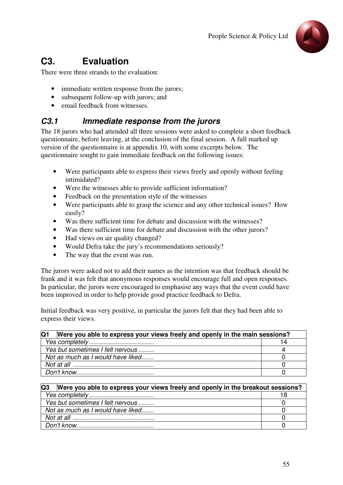

# **C3. Evaluation**

There were three strands to the evaluation:

- immediate written response from the jurors:
- subsequent follow-up with jurors; and
- email feedback from witnesses.

## **C3.1 Immediate response from the jurors**

The 18 jurors who had attended all three sessions were asked to complete a short feedback questionnaire, before leaving, at the conclusion of the final session. A full marked up version of the questionnaire is at appendix 10, with some excerpts below. The questionnaire sought to gain immediate feedback on the following issues:

- Were participants able to express their views freely and openly without feeling intimidated?
- Were the witnesses able to provide sufficient information?
- Feedback on the presentation style of the witnesses
- Were participants able to grasp the science and any other technical issues? How easily?
- Was there sufficient time for debate and discussion with the witnesses?
- Was there sufficient time for debate and discussion with the other jurors?
- Had views on air quality changed?
- Would Defra take the jury's recommendations seriously?
- The way that the event was run.

The jurors were asked not to add their names as the intention was that feedback should be frank and it was felt that anonymous responses would encourage full and open responses. In particular, the jurors were encouraged to emphasise any ways that the event could have been improved in order to help provide good practice feedback to Defra.

Initial feedback was very positive, in particular the jurors felt that they had been able to express their views.

| IQ1<br>Were you able to express your views freely and openly in the main sessions? |    |
|------------------------------------------------------------------------------------|----|
|                                                                                    | 14 |
| Yes but sometimes I felt nervous                                                   |    |
| Not as much as I would have liked                                                  |    |
|                                                                                    |    |
|                                                                                    |    |

#### **Q3 Were you able to express your views freely and openly in the breakout sessions?**

| Yes but sometimes I felt nervous  |  |
|-----------------------------------|--|
| Not as much as I would have liked |  |
|                                   |  |
|                                   |  |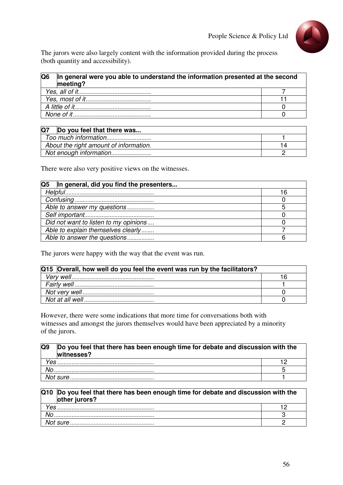

The jurors were also largely content with the information provided during the process (both quantity and accessibility).

| In general were you able to understand the information presented at the second<br>meeting? |  |
|--------------------------------------------------------------------------------------------|--|
|                                                                                            |  |
|                                                                                            |  |
|                                                                                            |  |
|                                                                                            |  |

| Q7<br>Do you feel that there was       |  |
|----------------------------------------|--|
|                                        |  |
| About the right amount of information. |  |
|                                        |  |

There were also very positive views on the witnesses.

| Q <sub>5</sub><br>In general, did you find the presenters |  |
|-----------------------------------------------------------|--|
|                                                           |  |
|                                                           |  |
| Able to answer my questions                               |  |
|                                                           |  |
| Did not want to listen to my opinions                     |  |
| Able to explain themselves clearly                        |  |
| Able to answer the questions                              |  |

The jurors were happy with the way that the event was run.

| Q15 Overall, how well do you feel the event was run by the facilitators? |  |
|--------------------------------------------------------------------------|--|
|                                                                          |  |
|                                                                          |  |
|                                                                          |  |
|                                                                          |  |

However, there were some indications that more time for conversations both with witnesses and amongst the jurors themselves would have been appreciated by a minority of the jurors.

| Q <sub>9</sub> | Do you feel that there has been enough time for debate and discussion with the<br>witnesses? |  |
|----------------|----------------------------------------------------------------------------------------------|--|
| Yes            |                                                                                              |  |
|                |                                                                                              |  |
|                |                                                                                              |  |

#### **Q10 Do you feel that there has been enough time for debate and discussion with the other jurors?**

| ິ  |  |
|----|--|
| VС |  |
|    |  |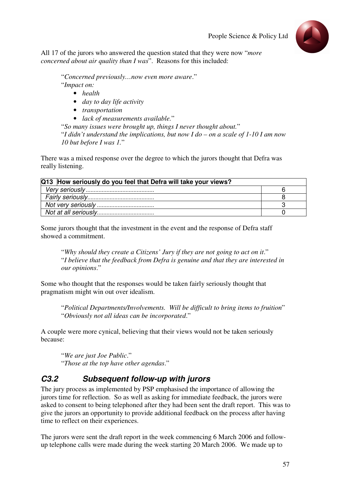

All 17 of the jurors who answered the question stated that they were now "*more concerned about air quality than I was*". Reasons for this included:

"*Concerned previously…now even more aware*."

- "*Impact on:* 
	- *health*
	- *day to day life activity*
	- *transportation*
	- *lack of measurements available.*"

"*So many issues were brought up, things I never thought about.*"

"*I didn't understand the implications, but now I do – on a scale of 1-10 I am now 10 but before I was 1.*"

There was a mixed response over the degree to which the jurors thought that Defra was really listening.

| Q13 How seriously do you feel that Defra will take your views? |  |
|----------------------------------------------------------------|--|
|                                                                |  |
|                                                                |  |
|                                                                |  |
|                                                                |  |

Some jurors thought that the investment in the event and the response of Defra staff showed a commitment.

"*Why should they create a Citizens' Jury if they are not going to act on it*." "*I believe that the feedback from Defra is genuine and that they are interested in our opinions*."

Some who thought that the responses would be taken fairly seriously thought that pragmatism might win out over idealism.

"*Political Departments/Involvements. Will be difficult to bring items to fruition*" "*Obviously not all ideas can be incorporated*."

A couple were more cynical, believing that their views would not be taken seriously because:

"*We are just Joe Public*." "*Those at the top have other agendas*."

## **C3.2 Subsequent follow-up with jurors**

The jury process as implemented by PSP emphasised the importance of allowing the jurors time for reflection. So as well as asking for immediate feedback, the jurors were asked to consent to being telephoned after they had been sent the draft report. This was to give the jurors an opportunity to provide additional feedback on the process after having time to reflect on their experiences.

The jurors were sent the draft report in the week commencing 6 March 2006 and followup telephone calls were made during the week starting 20 March 2006. We made up to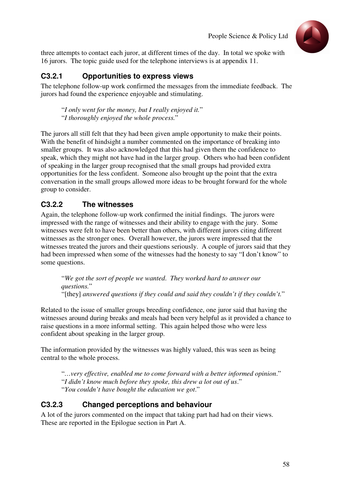

three attempts to contact each juror, at different times of the day. In total we spoke with 16 jurors. The topic guide used for the telephone interviews is at appendix 11.

### **C3.2.1 Opportunities to express views**

The telephone follow-up work confirmed the messages from the immediate feedback. The jurors had found the experience enjoyable and stimulating.

"*I only went for the money, but I really enjoyed it.*" "*I thoroughly enjoyed the whole process.*"

The jurors all still felt that they had been given ample opportunity to make their points. With the benefit of hindsight a number commented on the importance of breaking into smaller groups. It was also acknowledged that this had given them the confidence to speak, which they might not have had in the larger group. Others who had been confident of speaking in the larger group recognised that the small groups had provided extra opportunities for the less confident. Someone also brought up the point that the extra conversation in the small groups allowed more ideas to be brought forward for the whole group to consider.

### **C3.2.2 The witnesses**

Again, the telephone follow-up work confirmed the initial findings. The jurors were impressed with the range of witnesses and their ability to engage with the jury. Some witnesses were felt to have been better than others, with different jurors citing different witnesses as the stronger ones. Overall however, the jurors were impressed that the witnesses treated the jurors and their questions seriously. A couple of jurors said that they had been impressed when some of the witnesses had the honesty to say "I don't know" to some questions.

"*We got the sort of people we wanted*. *They worked hard to answer our questions.*" "[they] *answered questions if they could and said they couldn't if they couldn't.*"

Related to the issue of smaller groups breeding confidence, one juror said that having the witnesses around during breaks and meals had been very helpful as it provided a chance to raise questions in a more informal setting. This again helped those who were less confident about speaking in the larger group.

The information provided by the witnesses was highly valued, this was seen as being central to the whole process.

"*…very effective, enabled me to come forward with a better informed opinion*." "*I didn't know much before they spoke, this drew a lot out of us*." "*You couldn't have bought the education we got*."

### **C3.2.3 Changed perceptions and behaviour**

A lot of the jurors commented on the impact that taking part had had on their views. These are reported in the Epilogue section in Part A.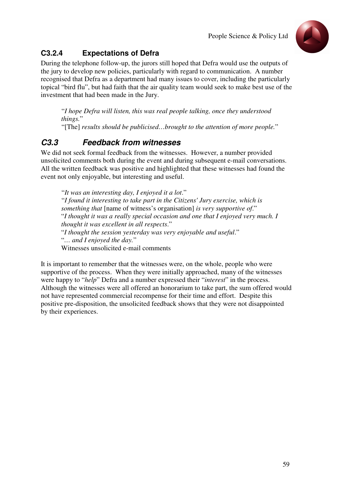

## **C3.2.4 Expectations of Defra**

During the telephone follow-up, the jurors still hoped that Defra would use the outputs of the jury to develop new policies, particularly with regard to communication. A number recognised that Defra as a department had many issues to cover, including the particularly topical "bird flu", but had faith that the air quality team would seek to make best use of the investment that had been made in the Jury.

"*I hope Defra will listen, this was real people talking, once they understood things.*"

"[The] *results should be publicised…brought to the attention of more people.*"

## **C3.3 Feedback from witnesses**

We did not seek formal feedback from the witnesses. However, a number provided unsolicited comments both during the event and during subsequent e-mail conversations. All the written feedback was positive and highlighted that these witnesses had found the event not only enjoyable, but interesting and useful.

"*It was an interesting day, I enjoyed it a lot*." "*I found it interesting to take part in the Citizens' Jury exercise, which is something that* [name of witness's organisation] *is very supportive of*." "*I thought it was a really special occasion and one that I enjoyed very much. I thought it was excellent in all respects*." "*I thought the session yesterday was very enjoyable and useful*." "*… and I enjoyed the day.*" Witnesses unsolicited e-mail comments

It is important to remember that the witnesses were, on the whole, people who were supportive of the process. When they were initially approached, many of the witnesses were happy to "*help*" Defra and a number expressed their "*interest*" in the process. Although the witnesses were all offered an honorarium to take part, the sum offered would not have represented commercial recompense for their time and effort. Despite this positive pre-disposition, the unsolicited feedback shows that they were not disappointed by their experiences.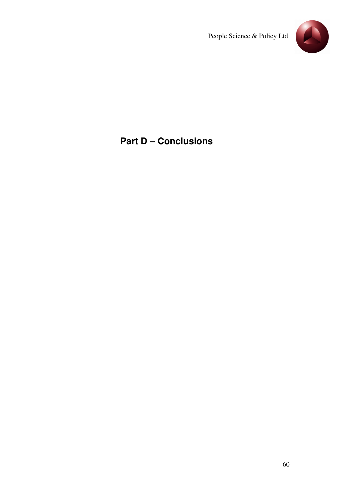

# **Part D – Conclusions**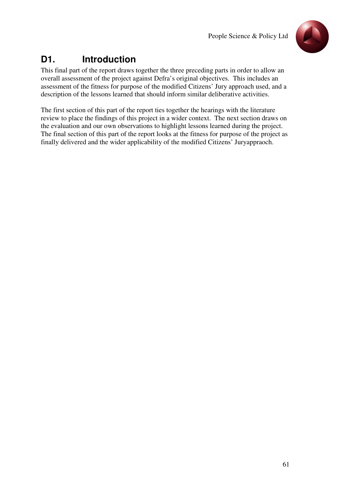

# **D1. Introduction**

This final part of the report draws together the three preceding parts in order to allow an overall assessment of the project against Defra's original objectives. This includes an assessment of the fitness for purpose of the modified Citizens' Jury approach used, and a description of the lessons learned that should inform similar deliberative activities.

The first section of this part of the report ties together the hearings with the literature review to place the findings of this project in a wider context. The next section draws on the evaluation and our own observations to highlight lessons learned during the project. The final section of this part of the report looks at the fitness for purpose of the project as finally delivered and the wider applicability of the modified Citizens' Juryappraoch.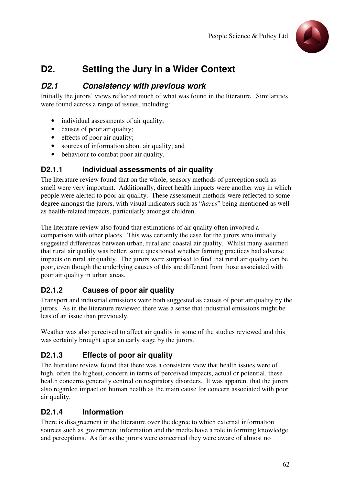

# **D2. Setting the Jury in a Wider Context**

### **D2.1 Consistency with previous work**

Initially the jurors' views reflected much of what was found in the literature. Similarities were found across a range of issues, including:

- individual assessments of air quality;
- causes of poor air quality;
- effects of poor air quality;
- sources of information about air quality; and
- behaviour to combat poor air quality.

#### **D2.1.1 Individual assessments of air quality**

The literature review found that on the whole, sensory methods of perception such as smell were very important. Additionally, direct health impacts were another way in which people were alerted to poor air quality. These assessment methods were reflected to some degree amongst the jurors, with visual indicators such as "*hazes*" being mentioned as well as health-related impacts, particularly amongst children.

The literature review also found that estimations of air quality often involved a comparison with other places. This was certainly the case for the jurors who initially suggested differences between urban, rural and coastal air quality. Whilst many assumed that rural air quality was better, some questioned whether farming practices had adverse impacts on rural air quality. The jurors were surprised to find that rural air quality can be poor, even though the underlying causes of this are different from those associated with poor air quality in urban areas.

### **D2.1.2 Causes of poor air quality**

Transport and industrial emissions were both suggested as causes of poor air quality by the jurors. As in the literature reviewed there was a sense that industrial emissions might be less of an issue than previously.

Weather was also perceived to affect air quality in some of the studies reviewed and this was certainly brought up at an early stage by the jurors.

### **D2.1.3 Effects of poor air quality**

The literature review found that there was a consistent view that health issues were of high, often the highest, concern in terms of perceived impacts, actual or potential, these health concerns generally centred on respiratory disorders. It was apparent that the jurors also regarded impact on human health as the main cause for concern associated with poor air quality.

### **D2.1.4 Information**

There is disagreement in the literature over the degree to which external information sources such as government information and the media have a role in forming knowledge and perceptions. As far as the jurors were concerned they were aware of almost no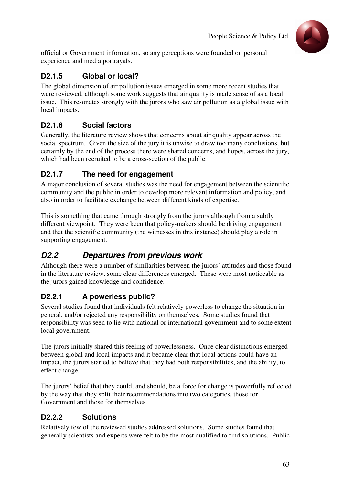

official or Government information, so any perceptions were founded on personal experience and media portrayals.

### **D2.1.5 Global or local?**

The global dimension of air pollution issues emerged in some more recent studies that were reviewed, although some work suggests that air quality is made sense of as a local issue. This resonates strongly with the jurors who saw air pollution as a global issue with local impacts.

### **D2.1.6 Social factors**

Generally, the literature review shows that concerns about air quality appear across the social spectrum. Given the size of the jury it is unwise to draw too many conclusions, but certainly by the end of the process there were shared concerns, and hopes, across the jury, which had been recruited to be a cross-section of the public.

#### **D2.1.7 The need for engagement**

A major conclusion of several studies was the need for engagement between the scientific community and the public in order to develop more relevant information and policy, and also in order to facilitate exchange between different kinds of expertise.

This is something that came through strongly from the jurors although from a subtly different viewpoint. They were keen that policy-makers should be driving engagement and that the scientific community (the witnesses in this instance) should play a role in supporting engagement.

## **D2.2 Departures from previous work**

Although there were a number of similarities between the jurors' attitudes and those found in the literature review, some clear differences emerged. These were most noticeable as the jurors gained knowledge and confidence.

### **D2.2.1 A powerless public?**

Several studies found that individuals felt relatively powerless to change the situation in general, and/or rejected any responsibility on themselves. Some studies found that responsibility was seen to lie with national or international government and to some extent local government.

The jurors initially shared this feeling of powerlessness. Once clear distinctions emerged between global and local impacts and it became clear that local actions could have an impact, the jurors started to believe that they had both responsibilities, and the ability, to effect change.

The jurors' belief that they could, and should, be a force for change is powerfully reflected by the way that they split their recommendations into two categories, those for Government and those for themselves.

### **D2.2.2 Solutions**

Relatively few of the reviewed studies addressed solutions. Some studies found that generally scientists and experts were felt to be the most qualified to find solutions. Public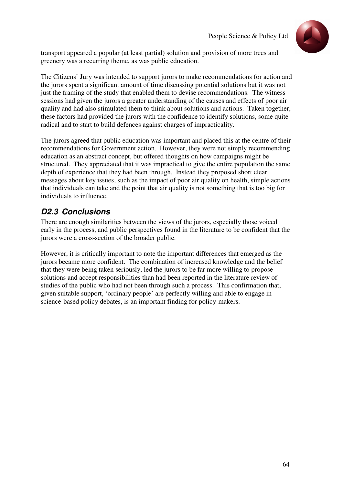

transport appeared a popular (at least partial) solution and provision of more trees and greenery was a recurring theme, as was public education.

The Citizens' Jury was intended to support jurors to make recommendations for action and the jurors spent a significant amount of time discussing potential solutions but it was not just the framing of the study that enabled them to devise recommendations. The witness sessions had given the jurors a greater understanding of the causes and effects of poor air quality and had also stimulated them to think about solutions and actions. Taken together, these factors had provided the jurors with the confidence to identify solutions, some quite radical and to start to build defences against charges of impracticality.

The jurors agreed that public education was important and placed this at the centre of their recommendations for Government action. However, they were not simply recommending education as an abstract concept, but offered thoughts on how campaigns might be structured. They appreciated that it was impractical to give the entire population the same depth of experience that they had been through. Instead they proposed short clear messages about key issues, such as the impact of poor air quality on health, simple actions that individuals can take and the point that air quality is not something that is too big for individuals to influence.

## **D2.3 Conclusions**

There are enough similarities between the views of the jurors, especially those voiced early in the process, and public perspectives found in the literature to be confident that the jurors were a cross-section of the broader public.

However, it is critically important to note the important differences that emerged as the jurors became more confident. The combination of increased knowledge and the belief that they were being taken seriously, led the jurors to be far more willing to propose solutions and accept responsibilities than had been reported in the literature review of studies of the public who had not been through such a process. This confirmation that, given suitable support, 'ordinary people' are perfectly willing and able to engage in science-based policy debates, is an important finding for policy-makers.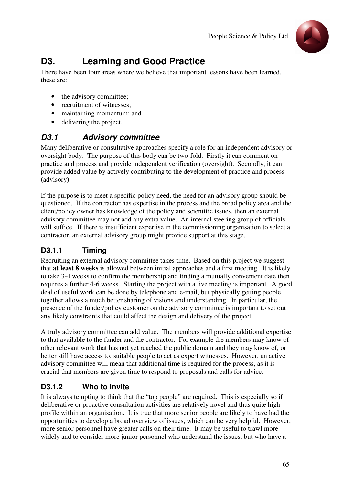

# **D3. Learning and Good Practice**

There have been four areas where we believe that important lessons have been learned, these are:

- the advisory committee;
- recruitment of witnesses:
- maintaining momentum; and
- delivering the project.

### **D3.1 Advisory committee**

Many deliberative or consultative approaches specify a role for an independent advisory or oversight body. The purpose of this body can be two-fold. Firstly it can comment on practice and process and provide independent verification (oversight). Secondly, it can provide added value by actively contributing to the development of practice and process (advisory).

If the purpose is to meet a specific policy need, the need for an advisory group should be questioned. If the contractor has expertise in the process and the broad policy area and the client/policy owner has knowledge of the policy and scientific issues, then an external advisory committee may not add any extra value. An internal steering group of officials will suffice. If there is insufficient expertise in the commissioning organisation to select a contractor, an external advisory group might provide support at this stage.

### **D3.1.1 Timing**

Recruiting an external advisory committee takes time. Based on this project we suggest that **at least 8 weeks** is allowed between initial approaches and a first meeting. It is likely to take 3-4 weeks to confirm the membership and finding a mutually convenient date then requires a further 4-6 weeks. Starting the project with a live meeting is important. A good deal of useful work can be done by telephone and e-mail, but physically getting people together allows a much better sharing of visions and understanding. In particular, the presence of the funder/policy customer on the advisory committee is important to set out any likely constraints that could affect the design and delivery of the project.

A truly advisory committee can add value. The members will provide additional expertise to that available to the funder and the contractor. For example the members may know of other relevant work that has not yet reached the public domain and they may know of, or better still have access to, suitable people to act as expert witnesses. However, an active advisory committee will mean that additional time is required for the process, as it is crucial that members are given time to respond to proposals and calls for advice.

### **D3.1.2 Who to invite**

It is always tempting to think that the "top people" are required. This is especially so if deliberative or proactive consultation activities are relatively novel and thus quite high profile within an organisation. It is true that more senior people are likely to have had the opportunities to develop a broad overview of issues, which can be very helpful. However, more senior personnel have greater calls on their time. It may be useful to trawl more widely and to consider more junior personnel who understand the issues, but who have a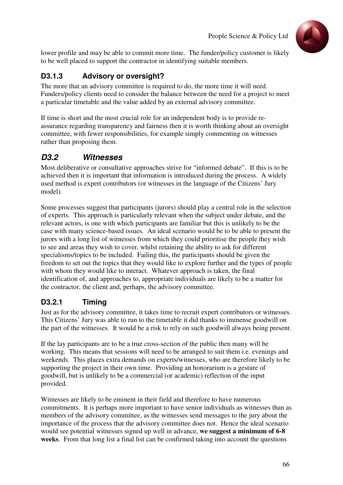

lower profile and may be able to commit more time. The funder/policy customer is likely to be well placed to support the contractor in identifying suitable members.

## **D3.1.3 Advisory or oversight?**

The more that an advisory committee is required to do, the more time it will need. Funders/policy clients need to consider the balance between the need for a project to meet a particular timetable and the value added by an external advisory committee.

If time is short and the most crucial role for an independent body is to provide reassurance regarding transparency and fairness then it is worth thinking about an oversight committee, with fewer responsibilities, for example simply commenting on witnesses rather than proposing them.

## **D3.2 Witnesses**

Most deliberative or consultative approaches strive for "informed debate". If this is to be achieved then it is important that information is introduced during the process. A widely used method is expert contributors (or witnesses in the language of the Citizens' Jury model).

Some processes suggest that participants (jurors) should play a central role in the selection of experts. This approach is particularly relevant when the subject under debate, and the relevant actors, is one with which participants are familiar but this is unlikely to be the case with many science-based issues. An ideal scenario would be to be able to present the jurors with a long list of witnesses from which they could prioritise the people they wish to see and areas they wish to cover, whilst retaining the ability to ask for different specialisms/topics to be included. Failing this, the participants should be given the freedom to set out the topics that they would like to explore further and the types of people with whom they would like to interact. Whatever approach is taken, the final identification of, and approaches to, appropriate individuals are likely to be a matter for the contractor, the client and, perhaps, the advisory committee.

### **D3.2.1 Timing**

Just as for the advisory committee, it takes time to recruit expert contributors or witnesses. This Citizens' Jury was able to run to the timetable it did thanks to immense goodwill on the part of the witnesses. It would be a risk to rely on such goodwill always being present.

If the lay participants are to be a true cross-section of the public then many will be working. This means that sessions will need to be arranged to suit them i.e. evenings and weekends. This places extra demands on experts/witnesses, who are therefore likely to be supporting the project in their own time. Providing an honorarium is a gesture of goodwill, but is unlikely to be a commercial (or academic) reflection of the input provided.

Witnesses are likely to be eminent in their field and therefore to have numerous commitments. It is perhaps more important to have senior individuals as witnesses than as members of the advisory committee, as the witnesses send messages to the jury about the importance of the process that the advisory committee does not. Hence the ideal scenario would see potential witnesses signed up well in advance, **we suggest a minimum of 6-8 weeks**. From that long list a final list can be confirmed taking into account the questions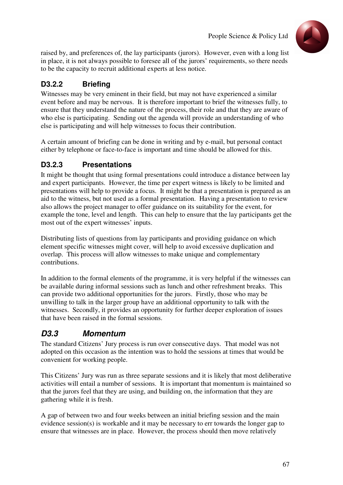

raised by, and preferences of, the lay participants (jurors). However, even with a long list in place, it is not always possible to foresee all of the jurors' requirements, so there needs to be the capacity to recruit additional experts at less notice.

## **D3.2.2 Briefing**

Witnesses may be very eminent in their field, but may not have experienced a similar event before and may be nervous. It is therefore important to brief the witnesses fully, to ensure that they understand the nature of the process, their role and that they are aware of who else is participating. Sending out the agenda will provide an understanding of who else is participating and will help witnesses to focus their contribution.

A certain amount of briefing can be done in writing and by e-mail, but personal contact either by telephone or face-to-face is important and time should be allowed for this.

#### **D3.2.3 Presentations**

It might be thought that using formal presentations could introduce a distance between lay and expert participants. However, the time per expert witness is likely to be limited and presentations will help to provide a focus. It might be that a presentation is prepared as an aid to the witness, but not used as a formal presentation. Having a presentation to review also allows the project manager to offer guidance on its suitability for the event, for example the tone, level and length. This can help to ensure that the lay participants get the most out of the expert witnesses' inputs.

Distributing lists of questions from lay participants and providing guidance on which element specific witnesses might cover, will help to avoid excessive duplication and overlap. This process will allow witnesses to make unique and complementary contributions.

In addition to the formal elements of the programme, it is very helpful if the witnesses can be available during informal sessions such as lunch and other refreshment breaks. This can provide two additional opportunities for the jurors. Firstly, those who may be unwilling to talk in the larger group have an additional opportunity to talk with the witnesses. Secondly, it provides an opportunity for further deeper exploration of issues that have been raised in the formal sessions.

## **D3.3 Momentum**

The standard Citizens' Jury process is run over consecutive days. That model was not adopted on this occasion as the intention was to hold the sessions at times that would be convenient for working people.

This Citizens' Jury was run as three separate sessions and it is likely that most deliberative activities will entail a number of sessions. It is important that momentum is maintained so that the jurors feel that they are using, and building on, the information that they are gathering while it is fresh.

A gap of between two and four weeks between an initial briefing session and the main evidence session(s) is workable and it may be necessary to err towards the longer gap to ensure that witnesses are in place. However, the process should then move relatively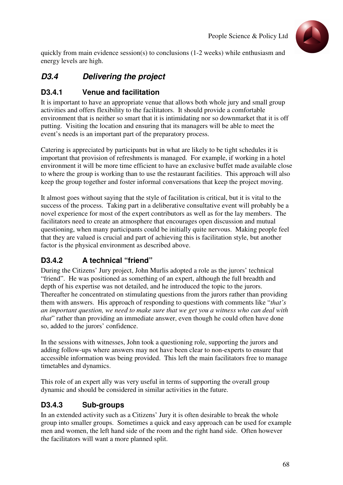

quickly from main evidence session(s) to conclusions (1-2 weeks) while enthusiasm and energy levels are high.

### **D3.4 Delivering the project**

#### **D3.4.1 Venue and facilitation**

It is important to have an appropriate venue that allows both whole jury and small group activities and offers flexibility to the facilitators. It should provide a comfortable environment that is neither so smart that it is intimidating nor so downmarket that it is off putting. Visiting the location and ensuring that its managers will be able to meet the event's needs is an important part of the preparatory process.

Catering is appreciated by participants but in what are likely to be tight schedules it is important that provision of refreshments is managed. For example, if working in a hotel environment it will be more time efficient to have an exclusive buffet made available close to where the group is working than to use the restaurant facilities. This approach will also keep the group together and foster informal conversations that keep the project moving.

It almost goes without saying that the style of facilitation is critical, but it is vital to the success of the process. Taking part in a deliberative consultative event will probably be a novel experience for most of the expert contributors as well as for the lay members. The facilitators need to create an atmosphere that encourages open discussion and mutual questioning, when many participants could be initially quite nervous. Making people feel that they are valued is crucial and part of achieving this is facilitation style, but another factor is the physical environment as described above.

### **D3.4.2 A technical "friend"**

During the Citizens' Jury project, John Murlis adopted a role as the jurors' technical "friend". He was positioned as something of an expert, although the full breadth and depth of his expertise was not detailed, and he introduced the topic to the jurors. Thereafter he concentrated on stimulating questions from the jurors rather than providing them with answers. His approach of responding to questions with comments like "*that's an important question, we need to make sure that we get you a witness who can deal with that*" rather than providing an immediate answer, even though he could often have done so, added to the jurors' confidence.

In the sessions with witnesses, John took a questioning role, supporting the jurors and adding follow-ups where answers may not have been clear to non-experts to ensure that accessible information was being provided. This left the main facilitators free to manage timetables and dynamics.

This role of an expert ally was very useful in terms of supporting the overall group dynamic and should be considered in similar activities in the future.

#### **D3.4.3 Sub-groups**

In an extended activity such as a Citizens' Jury it is often desirable to break the whole group into smaller groups. Sometimes a quick and easy approach can be used for example men and women, the left hand side of the room and the right hand side. Often however the facilitators will want a more planned split.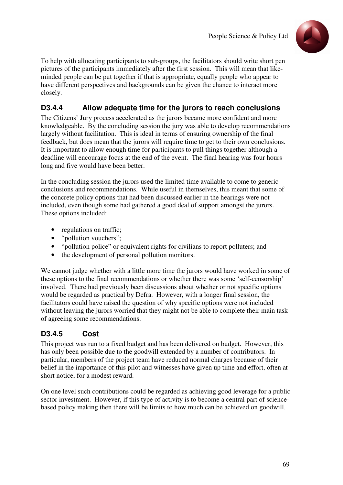

To help with allocating participants to sub-groups, the facilitators should write short pen pictures of the participants immediately after the first session. This will mean that likeminded people can be put together if that is appropriate, equally people who appear to have different perspectives and backgrounds can be given the chance to interact more closely.

#### **D3.4.4 Allow adequate time for the jurors to reach conclusions**

The Citizens' Jury process accelerated as the jurors became more confident and more knowledgeable. By the concluding session the jury was able to develop recommendations largely without facilitation. This is ideal in terms of ensuring ownership of the final feedback, but does mean that the jurors will require time to get to their own conclusions. It is important to allow enough time for participants to pull things together although a deadline will encourage focus at the end of the event. The final hearing was four hours long and five would have been better.

In the concluding session the jurors used the limited time available to come to generic conclusions and recommendations. While useful in themselves, this meant that some of the concrete policy options that had been discussed earlier in the hearings were not included, even though some had gathered a good deal of support amongst the jurors. These options included:

- regulations on traffic;
- "pollution vouchers";
- "pollution police" or equivalent rights for civilians to report polluters; and
- the development of personal pollution monitors.

We cannot judge whether with a little more time the jurors would have worked in some of these options to the final recommendations or whether there was some 'self-censorship' involved. There had previously been discussions about whether or not specific options would be regarded as practical by Defra. However, with a longer final session, the facilitators could have raised the question of why specific options were not included without leaving the jurors worried that they might not be able to complete their main task of agreeing some recommendations.

### **D3.4.5 Cost**

This project was run to a fixed budget and has been delivered on budget. However, this has only been possible due to the goodwill extended by a number of contributors. In particular, members of the project team have reduced normal charges because of their belief in the importance of this pilot and witnesses have given up time and effort, often at short notice, for a modest reward.

On one level such contributions could be regarded as achieving good leverage for a public sector investment. However, if this type of activity is to become a central part of sciencebased policy making then there will be limits to how much can be achieved on goodwill.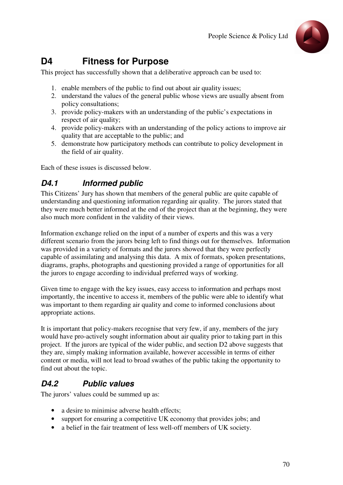

## **D4 Fitness for Purpose**

This project has successfully shown that a deliberative approach can be used to:

- 1. enable members of the public to find out about air quality issues;
- 2. understand the values of the general public whose views are usually absent from policy consultations;
- 3. provide policy-makers with an understanding of the public's expectations in respect of air quality;
- 4. provide policy-makers with an understanding of the policy actions to improve air quality that are acceptable to the public; and
- 5. demonstrate how participatory methods can contribute to policy development in the field of air quality.

Each of these issues is discussed below.

### **D4.1 Informed public**

This Citizens' Jury has shown that members of the general public are quite capable of understanding and questioning information regarding air quality. The jurors stated that they were much better informed at the end of the project than at the beginning, they were also much more confident in the validity of their views.

Information exchange relied on the input of a number of experts and this was a very different scenario from the jurors being left to find things out for themselves. Information was provided in a variety of formats and the jurors showed that they were perfectly capable of assimilating and analysing this data. A mix of formats, spoken presentations, diagrams, graphs, photographs and questioning provided a range of opportunities for all the jurors to engage according to individual preferred ways of working.

Given time to engage with the key issues, easy access to information and perhaps most importantly, the incentive to access it, members of the public were able to identify what was important to them regarding air quality and come to informed conclusions about appropriate actions.

It is important that policy-makers recognise that very few, if any, members of the jury would have pro-actively sought information about air quality prior to taking part in this project. If the jurors are typical of the wider public, and section D2 above suggests that they are, simply making information available, however accessible in terms of either content or media, will not lead to broad swathes of the public taking the opportunity to find out about the topic.

## **D4.2 Public values**

The jurors' values could be summed up as:

- a desire to minimise adverse health effects;
- support for ensuring a competitive UK economy that provides jobs; and
- a belief in the fair treatment of less well-off members of UK society.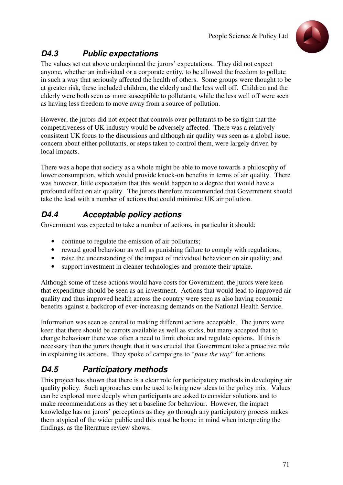

## **D4.3 Public expectations**

The values set out above underpinned the jurors' expectations. They did not expect anyone, whether an individual or a corporate entity, to be allowed the freedom to pollute in such a way that seriously affected the health of others. Some groups were thought to be at greater risk, these included children, the elderly and the less well off. Children and the elderly were both seen as more susceptible to pollutants, while the less well off were seen as having less freedom to move away from a source of pollution.

However, the jurors did not expect that controls over pollutants to be so tight that the competitiveness of UK industry would be adversely affected. There was a relatively consistent UK focus to the discussions and although air quality was seen as a global issue, concern about either pollutants, or steps taken to control them, were largely driven by local impacts.

There was a hope that society as a whole might be able to move towards a philosophy of lower consumption, which would provide knock-on benefits in terms of air quality. There was however, little expectation that this would happen to a degree that would have a profound effect on air quality. The jurors therefore recommended that Government should take the lead with a number of actions that could minimise UK air pollution.

## **D4.4 Acceptable policy actions**

Government was expected to take a number of actions, in particular it should:

- continue to regulate the emission of air pollutants;
- reward good behaviour as well as punishing failure to comply with regulations;
- raise the understanding of the impact of individual behaviour on air quality; and
- support investment in cleaner technologies and promote their uptake.

Although some of these actions would have costs for Government, the jurors were keen that expenditure should be seen as an investment. Actions that would lead to improved air quality and thus improved health across the country were seen as also having economic benefits against a backdrop of ever-increasing demands on the National Health Service.

Information was seen as central to making different actions acceptable. The jurors were keen that there should be carrots available as well as sticks, but many accepted that to change behaviour there was often a need to limit choice and regulate options. If this is necessary then the jurors thought that it was crucial that Government take a proactive role in explaining its actions. They spoke of campaigns to "*pave the way*" for actions.

## **D4.5 Participatory methods**

This project has shown that there is a clear role for participatory methods in developing air quality policy. Such approaches can be used to bring new ideas to the policy mix. Values can be explored more deeply when participants are asked to consider solutions and to make recommendations as they set a baseline for behaviour. However, the impact knowledge has on jurors' perceptions as they go through any participatory process makes them atypical of the wider public and this must be borne in mind when interpreting the findings, as the literature review shows.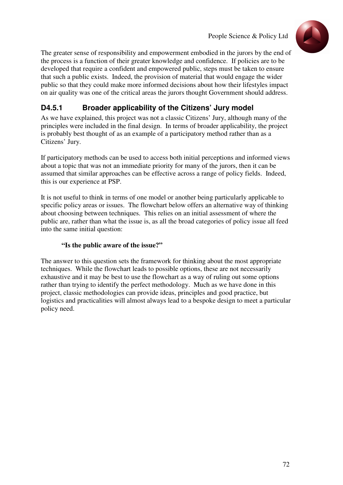

The greater sense of responsibility and empowerment embodied in the jurors by the end of the process is a function of their greater knowledge and confidence. If policies are to be developed that require a confident and empowered public, steps must be taken to ensure that such a public exists. Indeed, the provision of material that would engage the wider public so that they could make more informed decisions about how their lifestyles impact on air quality was one of the critical areas the jurors thought Government should address.

### **D4.5.1 Broader applicability of the Citizens' Jury model**

As we have explained, this project was not a classic Citizens' Jury, although many of the principles were included in the final design. In terms of broader applicability, the project is probably best thought of as an example of a participatory method rather than as a Citizens' Jury.

If participatory methods can be used to access both initial perceptions and informed views about a topic that was not an immediate priority for many of the jurors, then it can be assumed that similar approaches can be effective across a range of policy fields. Indeed, this is our experience at PSP.

It is not useful to think in terms of one model or another being particularly applicable to specific policy areas or issues. The flowchart below offers an alternative way of thinking about choosing between techniques. This relies on an initial assessment of where the public are, rather than what the issue is, as all the broad categories of policy issue all feed into the same initial question:

#### **"Is the public aware of the issue?"**

The answer to this question sets the framework for thinking about the most appropriate techniques. While the flowchart leads to possible options, these are not necessarily exhaustive and it may be best to use the flowchart as a way of ruling out some options rather than trying to identify the perfect methodology. Much as we have done in this project, classic methodologies can provide ideas, principles and good practice, but logistics and practicalities will almost always lead to a bespoke design to meet a particular policy need.